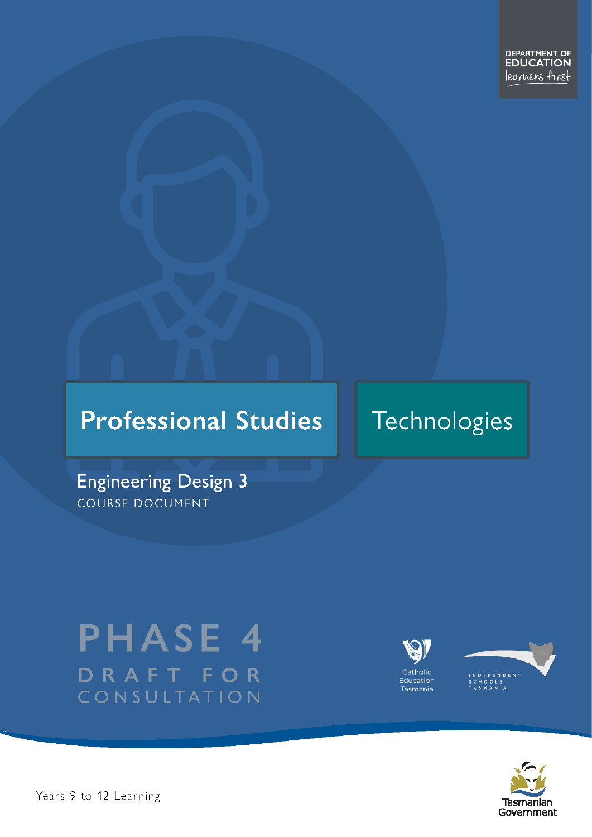DEPARTMENT OF<br>**EDUCATION** legrners first

# **Professional Studies**

# Technologies

**Engineering Design 3** COURSE DOCUMENT

# **PHASE 4** DRAFT FOR CONSULTATION





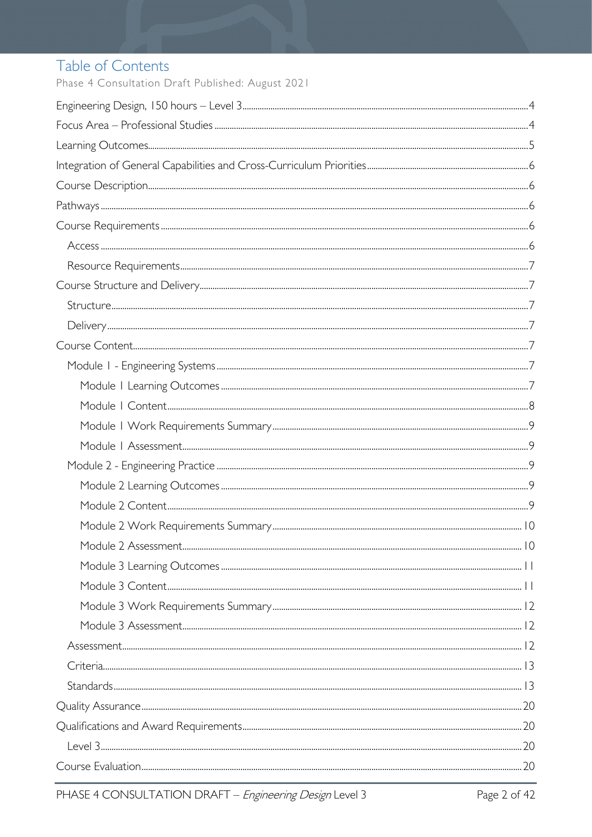# Table of Contents

| Phase 4 Consultation Draft Published: August 2021 |  |
|---------------------------------------------------|--|
|                                                   |  |
|                                                   |  |
|                                                   |  |
|                                                   |  |
|                                                   |  |
|                                                   |  |
|                                                   |  |
|                                                   |  |
|                                                   |  |
|                                                   |  |
|                                                   |  |
|                                                   |  |
|                                                   |  |
|                                                   |  |
|                                                   |  |
|                                                   |  |
|                                                   |  |
|                                                   |  |
|                                                   |  |
|                                                   |  |
|                                                   |  |
|                                                   |  |
|                                                   |  |
|                                                   |  |
|                                                   |  |
|                                                   |  |
|                                                   |  |
|                                                   |  |
|                                                   |  |
|                                                   |  |
|                                                   |  |
|                                                   |  |
|                                                   |  |
|                                                   |  |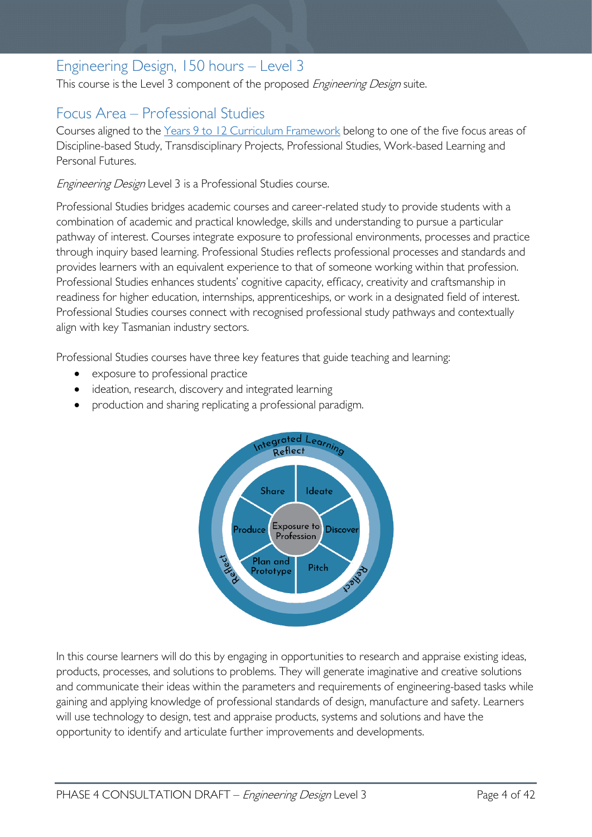# <span id="page-3-0"></span>Engineering Design, 150 hours – Level 3

This course is the Level 3 component of the proposed Engineering Design suite.

# <span id="page-3-1"></span>Focus Area – Professional Studies

Courses aligned to the [Years 9 to 12 Curriculum Framework](https://publicdocumentcentre.education.tas.gov.au/library/Shared%20Documents/Education%209-12%20Frameworks%20A3%20WEB%20POSTER.pdf) belong to one of the five focus areas of Discipline-based Study, Transdisciplinary Projects, Professional Studies, Work-based Learning and Personal Futures.

Engineering Design Level 3 is a Professional Studies course.

Professional Studies bridges academic courses and career-related study to provide students with a combination of academic and practical knowledge, skills and understanding to pursue a particular pathway of interest. Courses integrate exposure to professional environments, processes and practice through inquiry based learning. Professional Studies reflects professional processes and standards and provides learners with an equivalent experience to that of someone working within that profession. Professional Studies enhances students' cognitive capacity, efficacy, creativity and craftsmanship in readiness for higher education, internships, apprenticeships, or work in a designated field of interest. Professional Studies courses connect with recognised professional study pathways and contextually align with key Tasmanian industry sectors.

Professional Studies courses have three key features that guide teaching and learning:

- exposure to professional practice
- ideation, research, discovery and integrated learning
- production and sharing replicating a professional paradigm.



In this course learners will do this by engaging in opportunities to research and appraise existing ideas, products, processes, and solutions to problems. They will generate imaginative and creative solutions and communicate their ideas within the parameters and requirements of engineering-based tasks while gaining and applying knowledge of professional standards of design, manufacture and safety. Learners will use technology to design, test and appraise products, systems and solutions and have the opportunity to identify and articulate further improvements and developments.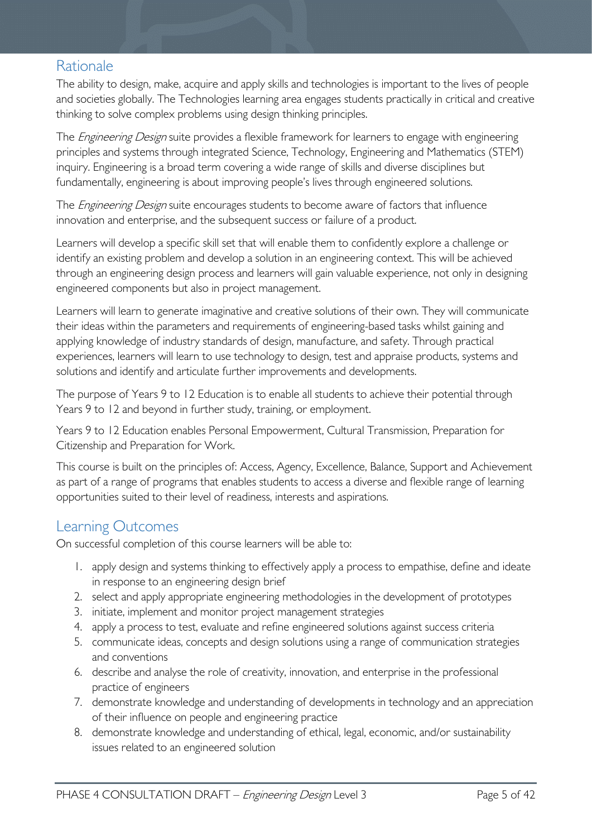# Rationale

The ability to design, make, acquire and apply skills and technologies is important to the lives of people and societies globally. The Technologies learning area engages students practically in critical and creative thinking to solve complex problems using design thinking principles.

The *Engineering Design* suite provides a flexible framework for learners to engage with engineering principles and systems through integrated Science, Technology, Engineering and Mathematics (STEM) inquiry. Engineering is a broad term covering a wide range of skills and diverse disciplines but fundamentally, engineering is about improving people's lives through engineered solutions.

The *Engineering Design* suite encourages students to become aware of factors that influence innovation and enterprise, and the subsequent success or failure of a product.

Learners will develop a specific skill set that will enable them to confidently explore a challenge or identify an existing problem and develop a solution in an engineering context. This will be achieved through an engineering design process and learners will gain valuable experience, not only in designing engineered components but also in project management.

Learners will learn to generate imaginative and creative solutions of their own. They will communicate their ideas within the parameters and requirements of engineering-based tasks whilst gaining and applying knowledge of industry standards of design, manufacture, and safety. Through practical experiences, learners will learn to use technology to design, test and appraise products, systems and solutions and identify and articulate further improvements and developments.

The purpose of Years 9 to 12 Education is to enable all students to achieve their potential through Years 9 to 12 and beyond in further study, training, or employment.

Years 9 to 12 Education enables Personal Empowerment, Cultural Transmission, Preparation for Citizenship and Preparation for Work.

This course is built on the principles of: Access, Agency, Excellence, Balance, Support and Achievement as part of a range of programs that enables students to access a diverse and flexible range of learning opportunities suited to their level of readiness, interests and aspirations.

# <span id="page-4-0"></span>Learning Outcomes

On successful completion of this course learners will be able to:

- 1. apply design and systems thinking to effectively apply a process to empathise, define and ideate in response to an engineering design brief
- 2. select and apply appropriate engineering methodologies in the development of prototypes
- 3. initiate, implement and monitor project management strategies
- 4. apply a process to test, evaluate and refine engineered solutions against success criteria
- 5. communicate ideas, concepts and design solutions using a range of communication strategies and conventions
- 6. describe and analyse the role of creativity, innovation, and enterprise in the professional practice of engineers
- 7. demonstrate knowledge and understanding of developments in technology and an appreciation of their influence on people and engineering practice
- 8. demonstrate knowledge and understanding of ethical, legal, economic, and/or sustainability issues related to an engineered solution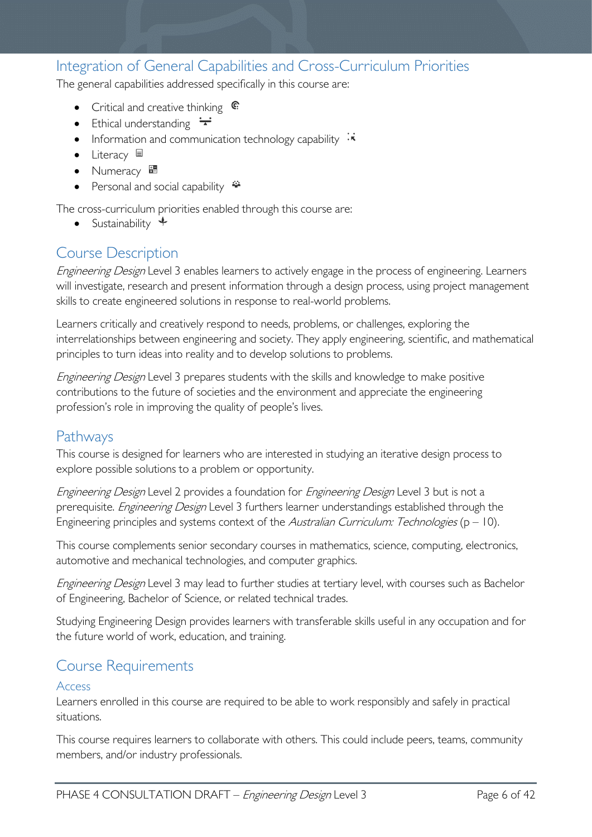# <span id="page-5-0"></span>Integration of General Capabilities and Cross-Curriculum Priorities

The general capabilities addressed specifically in this course are:

- Critical and creative thinking  $\epsilon$
- Ethical understanding  $\div$
- Information and communication technology capability  $\cdot \cdot$
- Literacy  $\blacksquare$
- Numeracy
- Personal and social capability

The cross-curriculum priorities enabled through this course are:

• Sustainability  $\triangleq$ 

# <span id="page-5-1"></span>Course Description

Engineering Design Level 3 enables learners to actively engage in the process of engineering. Learners will investigate, research and present information through a design process, using project management skills to create engineered solutions in response to real-world problems.

Learners critically and creatively respond to needs, problems, or challenges, exploring the interrelationships between engineering and society. They apply engineering, scientific, and mathematical principles to turn ideas into reality and to develop solutions to problems.

Engineering Design Level 3 prepares students with the skills and knowledge to make positive contributions to the future of societies and the environment and appreciate the engineering profession's role in improving the quality of people's lives.

### <span id="page-5-2"></span>Pathways

This course is designed for learners who are interested in studying an iterative design process to explore possible solutions to a problem or opportunity.

Engineering Design Level 2 provides a foundation for Engineering Design Level 3 but is not a prerequisite. Engineering Design Level 3 furthers learner understandings established through the Engineering principles and systems context of the Australian Curriculum: Technologies ( $p - 10$ ).

This course complements senior secondary courses in mathematics, science, computing, electronics, automotive and mechanical technologies, and computer graphics.

Engineering Design Level 3 may lead to further studies at tertiary level, with courses such as Bachelor of Engineering, Bachelor of Science, or related technical trades.

Studying Engineering Design provides learners with transferable skills useful in any occupation and for the future world of work, education, and training.

# <span id="page-5-3"></span>Course Requirements

#### <span id="page-5-4"></span>Access

Learners enrolled in this course are required to be able to work responsibly and safely in practical situations.

This course requires learners to collaborate with others. This could include peers, teams, community members, and/or industry professionals.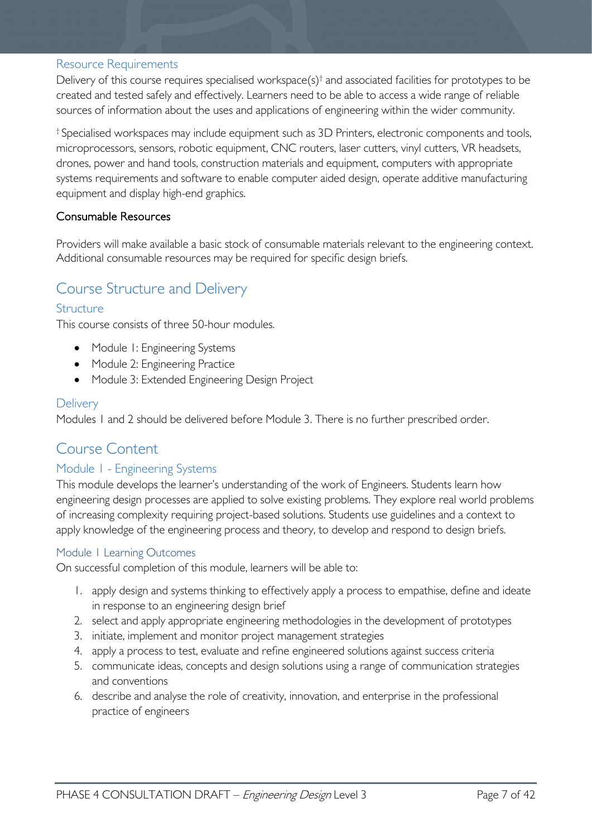#### <span id="page-6-0"></span>Resource Requirements

Delivery of this course requires specialised workspace(s)<sup>†</sup> and associated facilities for prototypes to be created and tested safely and effectively. Learners need to be able to access a wide range of reliable sources of information about the uses and applications of engineering within the wider community.

† Specialised workspaces may include equipment such as 3D Printers, electronic components and tools, microprocessors, sensors, robotic equipment, CNC routers, laser cutters, vinyl cutters, VR headsets, drones, power and hand tools, construction materials and equipment, computers with appropriate systems requirements and software to enable computer aided design, operate additive manufacturing equipment and display high-end graphics.

#### Consumable Resources

Providers will make available a basic stock of consumable materials relevant to the engineering context. Additional consumable resources may be required for specific design briefs.

# <span id="page-6-1"></span>Course Structure and Delivery

#### <span id="page-6-2"></span>**Structure**

This course consists of three 50-hour modules.

- Module 1: Engineering Systems
- Module 2: Engineering Practice
- Module 3: Extended Engineering Design Project

#### <span id="page-6-3"></span>**Delivery**

Modules 1 and 2 should be delivered before Module 3. There is no further prescribed order.

# <span id="page-6-4"></span>Course Content

#### <span id="page-6-5"></span>Module 1 - Engineering Systems

This module develops the learner's understanding of the work of Engineers. Students learn how engineering design processes are applied to solve existing problems. They explore real world problems of increasing complexity requiring project-based solutions. Students use guidelines and a context to apply knowledge of the engineering process and theory, to develop and respond to design briefs.

#### <span id="page-6-6"></span>Module 1 Learning Outcomes

On successful completion of this module, learners will be able to:

- 1. apply design and systems thinking to effectively apply a process to empathise, define and ideate in response to an engineering design brief
- 2. select and apply appropriate engineering methodologies in the development of prototypes
- 3. initiate, implement and monitor project management strategies
- 4. apply a process to test, evaluate and refine engineered solutions against success criteria
- 5. communicate ideas, concepts and design solutions using a range of communication strategies and conventions
- 6. describe and analyse the role of creativity, innovation, and enterprise in the professional practice of engineers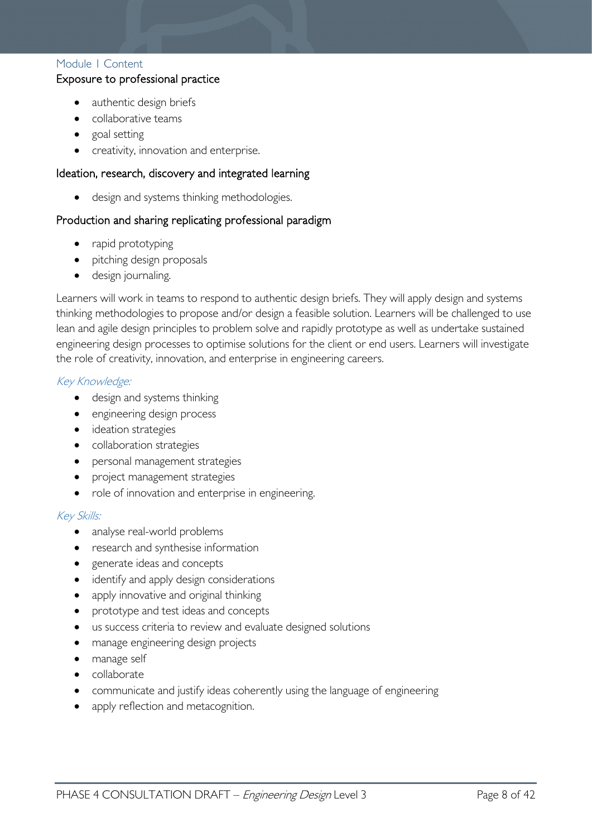#### <span id="page-7-0"></span>Module 1 Content

#### Exposure to professional practice

- authentic design briefs
- collaborative teams
- goal setting
- creativity, innovation and enterprise.

#### Ideation, research, discovery and integrated learning

• design and systems thinking methodologies.

#### Production and sharing replicating professional paradigm

- rapid prototyping
- pitching design proposals
- design journaling.

Learners will work in teams to respond to authentic design briefs. They will apply design and systems thinking methodologies to propose and/or design a feasible solution. Learners will be challenged to use lean and agile design principles to problem solve and rapidly prototype as well as undertake sustained engineering design processes to optimise solutions for the client or end users. Learners will investigate the role of creativity, innovation, and enterprise in engineering careers.

#### Key Knowledge:

- design and systems thinking
- engineering design process
- ideation strategies
- collaboration strategies
- personal management strategies
- project management strategies
- role of innovation and enterprise in engineering.

#### Key Skills:

- analyse real-world problems
- research and synthesise information
- generate ideas and concepts
- identify and apply design considerations
- apply innovative and original thinking
- prototype and test ideas and concepts
- us success criteria to review and evaluate designed solutions
- manage engineering design projects
- manage self
- collaborate
- communicate and justify ideas coherently using the language of engineering
- apply reflection and metacognition.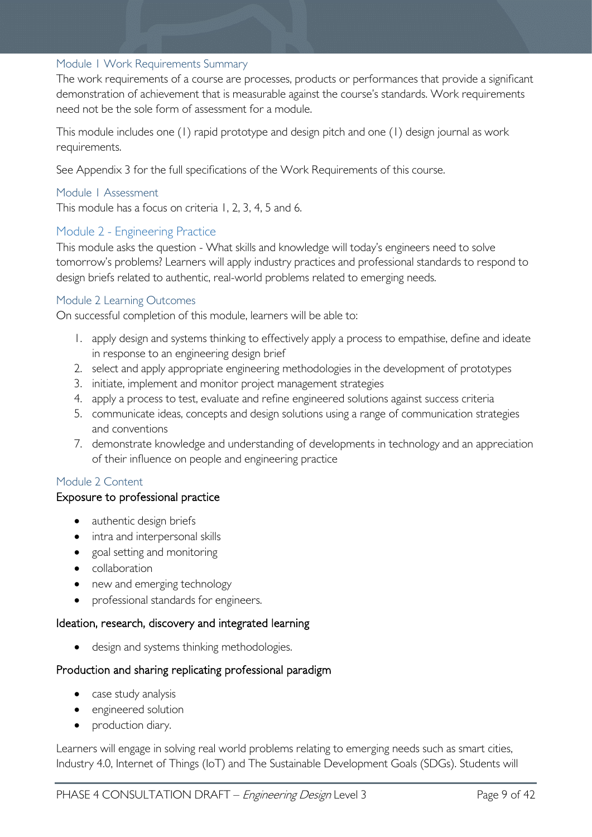#### <span id="page-8-0"></span>Module 1 Work Requirements Summary

The work requirements of a course are processes, products or performances that provide a significant demonstration of achievement that is measurable against the course's standards. Work requirements need not be the sole form of assessment for a module.

This module includes one (1) rapid prototype and design pitch and one (1) design journal as work requirements.

See Appendix 3 for the full specifications of the Work Requirements of this course.

<span id="page-8-1"></span>Module 1 Assessment This module has a focus on criteria 1, 2, 3, 4, 5 and 6.

#### <span id="page-8-2"></span>Module 2 - Engineering Practice

This module asks the question - What skills and knowledge will today's engineers need to solve tomorrow's problems? Learners will apply industry practices and professional standards to respond to design briefs related to authentic, real-world problems related to emerging needs.

#### <span id="page-8-3"></span>Module 2 Learning Outcomes

On successful completion of this module, learners will be able to:

- 1. apply design and systems thinking to effectively apply a process to empathise, define and ideate in response to an engineering design brief
- 2. select and apply appropriate engineering methodologies in the development of prototypes
- 3. initiate, implement and monitor project management strategies
- 4. apply a process to test, evaluate and refine engineered solutions against success criteria
- 5. communicate ideas, concepts and design solutions using a range of communication strategies and conventions
- 7. demonstrate knowledge and understanding of developments in technology and an appreciation of their influence on people and engineering practice

#### <span id="page-8-4"></span>Module 2 Content

#### Exposure to professional practice

- authentic design briefs
- intra and interpersonal skills
- goal setting and monitoring
- collaboration
- new and emerging technology
- professional standards for engineers.

#### Ideation, research, discovery and integrated learning

• design and systems thinking methodologies.

#### Production and sharing replicating professional paradigm

- case study analysis
- engineered solution
- production diary.

Learners will engage in solving real world problems relating to emerging needs such as smart cities, Industry 4.0, Internet of Things (IoT) and The Sustainable Development Goals (SDGs). Students will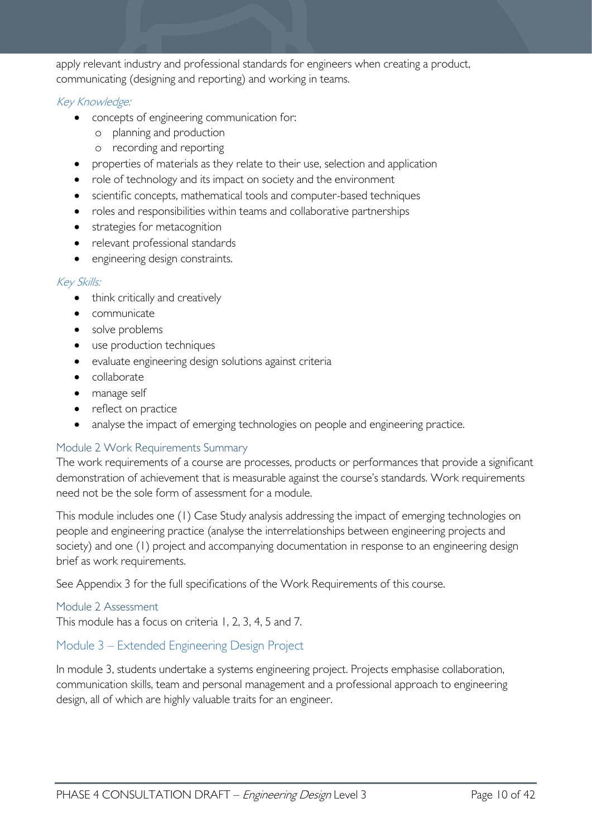apply relevant industry and professional standards for engineers when creating a product, communicating (designing and reporting) and working in teams.

#### Key Knowledge:

- concepts of engineering communication for:
	- o planning and production
	- o recording and reporting
- properties of materials as they relate to their use, selection and application
- role of technology and its impact on society and the environment
- scientific concepts, mathematical tools and computer-based techniques
- roles and responsibilities within teams and collaborative partnerships
- strategies for metacognition
- relevant professional standards
- engineering design constraints.

#### Key Skills:

- think critically and creatively
- communicate
- solve problems
- use production techniques
- evaluate engineering design solutions against criteria
- collaborate
- manage self
- reflect on practice
- analyse the impact of emerging technologies on people and engineering practice.

#### <span id="page-9-0"></span>Module 2 Work Requirements Summary

The work requirements of a course are processes, products or performances that provide a significant demonstration of achievement that is measurable against the course's standards. Work requirements need not be the sole form of assessment for a module.

This module includes one (1) Case Study analysis addressing the impact of emerging technologies on people and engineering practice (analyse the interrelationships between engineering projects and society) and one (1) project and accompanying documentation in response to an engineering design brief as work requirements.

See Appendix 3 for the full specifications of the Work Requirements of this course.

#### <span id="page-9-1"></span>Module 2 Assessment

This module has a focus on criteria 1, 2, 3, 4, 5 and 7.

#### Module 3 – Extended Engineering Design Project

In module 3, students undertake a systems engineering project. Projects emphasise collaboration, communication skills, team and personal management and a professional approach to engineering design, all of which are highly valuable traits for an engineer.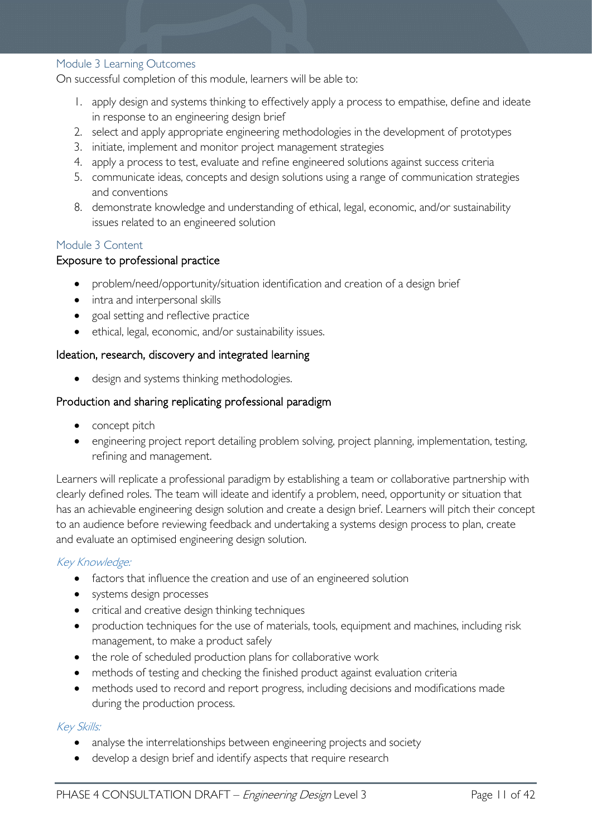#### <span id="page-10-0"></span>Module 3 Learning Outcomes

On successful completion of this module, learners will be able to:

- 1. apply design and systems thinking to effectively apply a process to empathise, define and ideate in response to an engineering design brief
- 2. select and apply appropriate engineering methodologies in the development of prototypes
- 3. initiate, implement and monitor project management strategies
- 4. apply a process to test, evaluate and refine engineered solutions against success criteria
- 5. communicate ideas, concepts and design solutions using a range of communication strategies and conventions
- 8. demonstrate knowledge and understanding of ethical, legal, economic, and/or sustainability issues related to an engineered solution

#### <span id="page-10-1"></span>Module 3 Content

#### Exposure to professional practice

- problem/need/opportunity/situation identification and creation of a design brief
- intra and interpersonal skills
- goal setting and reflective practice
- ethical, legal, economic, and/or sustainability issues.

#### Ideation, research, discovery and integrated learning

• design and systems thinking methodologies.

#### Production and sharing replicating professional paradigm

- concept pitch
- engineering project report detailing problem solving, project planning, implementation, testing, refining and management.

Learners will replicate a professional paradigm by establishing a team or collaborative partnership with clearly defined roles. The team will ideate and identify a problem, need, opportunity or situation that has an achievable engineering design solution and create a design brief. Learners will pitch their concept to an audience before reviewing feedback and undertaking a systems design process to plan, create and evaluate an optimised engineering design solution.

#### Key Knowledge:

- factors that influence the creation and use of an engineered solution
- systems design processes
- critical and creative design thinking techniques
- production techniques for the use of materials, tools, equipment and machines, including risk management, to make a product safely
- the role of scheduled production plans for collaborative work
- methods of testing and checking the finished product against evaluation criteria
- methods used to record and report progress, including decisions and modifications made during the production process.

#### Key Skills:

- analyse the interrelationships between engineering projects and society
- develop a design brief and identify aspects that require research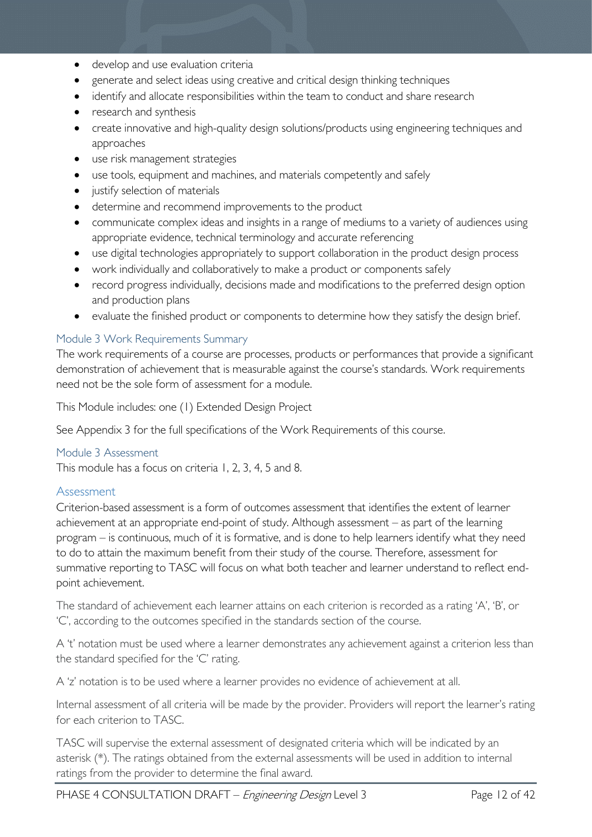- develop and use evaluation criteria
- generate and select ideas using creative and critical design thinking techniques
- identify and allocate responsibilities within the team to conduct and share research
- research and synthesis
- create innovative and high-quality design solutions/products using engineering techniques and approaches
- use risk management strategies
- use tools, equipment and machines, and materials competently and safely
- justify selection of materials
- determine and recommend improvements to the product
- communicate complex ideas and insights in a range of mediums to a variety of audiences using appropriate evidence, technical terminology and accurate referencing
- use digital technologies appropriately to support collaboration in the product design process
- work individually and collaboratively to make a product or components safely
- record progress individually, decisions made and modifications to the preferred design option and production plans
- evaluate the finished product or components to determine how they satisfy the design brief.

#### <span id="page-11-0"></span>Module 3 Work Requirements Summary

The work requirements of a course are processes, products or performances that provide a significant demonstration of achievement that is measurable against the course's standards. Work requirements need not be the sole form of assessment for a module.

This Module includes: one (1) Extended Design Project

See Appendix 3 for the full specifications of the Work Requirements of this course.

#### <span id="page-11-1"></span>Module 3 Assessment

This module has a focus on criteria 1, 2, 3, 4, 5 and 8.

#### <span id="page-11-2"></span>Assessment

Criterion-based assessment is a form of outcomes assessment that identifies the extent of learner achievement at an appropriate end-point of study. Although assessment – as part of the learning program – is continuous, much of it is formative, and is done to help learners identify what they need to do to attain the maximum benefit from their study of the course. Therefore, assessment for summative reporting to TASC will focus on what both teacher and learner understand to reflect endpoint achievement.

The standard of achievement each learner attains on each criterion is recorded as a rating 'A', 'B', or 'C', according to the outcomes specified in the standards section of the course.

A 't' notation must be used where a learner demonstrates any achievement against a criterion less than the standard specified for the 'C' rating.

A 'z' notation is to be used where a learner provides no evidence of achievement at all.

Internal assessment of all criteria will be made by the provider. Providers will report the learner's rating for each criterion to TASC.

TASC will supervise the external assessment of designated criteria which will be indicated by an asterisk (\*). The ratings obtained from the external assessments will be used in addition to internal ratings from the provider to determine the final award.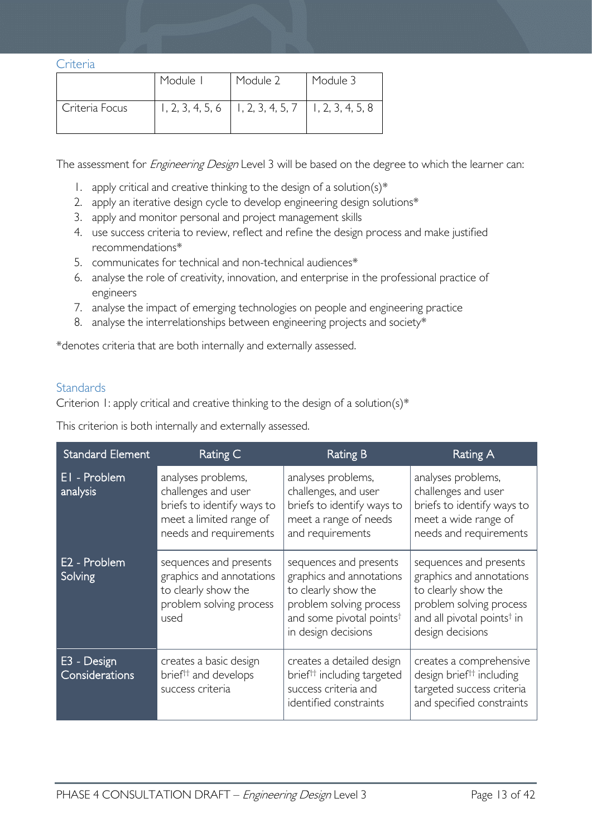<span id="page-12-0"></span>**Criteria** 

|                | Module I | Module 2                                                 | Module 3 |
|----------------|----------|----------------------------------------------------------|----------|
| Criteria Focus |          | $1, 2, 3, 4, 5, 6$   1, 2, 3, 4, 5, 7   1, 2, 3, 4, 5, 8 |          |

The assessment for *Engineering Design* Level 3 will be based on the degree to which the learner can:

- 1. apply critical and creative thinking to the design of a solution(s) $*$
- 2. apply an iterative design cycle to develop engineering design solutions\*
- 3. apply and monitor personal and project management skills
- 4. use success criteria to review, reflect and refine the design process and make justified recommendations\*
- 5. communicates for technical and non-technical audiences\*
- 6. analyse the role of creativity, innovation, and enterprise in the professional practice of engineers
- 7. analyse the impact of emerging technologies on people and engineering practice
- 8. analyse the interrelationships between engineering projects and society\*

\*denotes criteria that are both internally and externally assessed.

#### <span id="page-12-1"></span>**Standards**

Criterion 1: apply critical and creative thinking to the design of a solution(s)\*

This criterion is both internally and externally assessed.

| <b>Standard Element</b>             | Rating C                                                                                                                     | <b>Rating B</b>                                                                                                                                                     | Rating A                                                                                                                                                           |
|-------------------------------------|------------------------------------------------------------------------------------------------------------------------------|---------------------------------------------------------------------------------------------------------------------------------------------------------------------|--------------------------------------------------------------------------------------------------------------------------------------------------------------------|
| EI - Problem<br>analysis            | analyses problems,<br>challenges and user<br>briefs to identify ways to<br>meet a limited range of<br>needs and requirements | analyses problems,<br>challenges, and user<br>briefs to identify ways to<br>meet a range of needs<br>and requirements                                               | analyses problems,<br>challenges and user<br>briefs to identify ways to<br>meet a wide range of<br>needs and requirements                                          |
| E <sub>2</sub> - Problem<br>Solving | sequences and presents<br>graphics and annotations<br>to clearly show the<br>problem solving process<br>used                 | sequences and presents<br>graphics and annotations<br>to clearly show the<br>problem solving process<br>and some pivotal points <sup>†</sup><br>in design decisions | sequences and presents<br>graphics and annotations<br>to clearly show the<br>problem solving process<br>and all pivotal points <sup>†</sup> in<br>design decisions |
| E3 - Design<br>Considerations       | creates a basic design<br>brief <sup>††</sup> and develops<br>success criteria                                               | creates a detailed design<br>brief <sup>††</sup> including targeted<br>success criteria and<br>identified constraints                                               | creates a comprehensive<br>design brief <sup>tt</sup> including<br>targeted success criteria<br>and specified constraints                                          |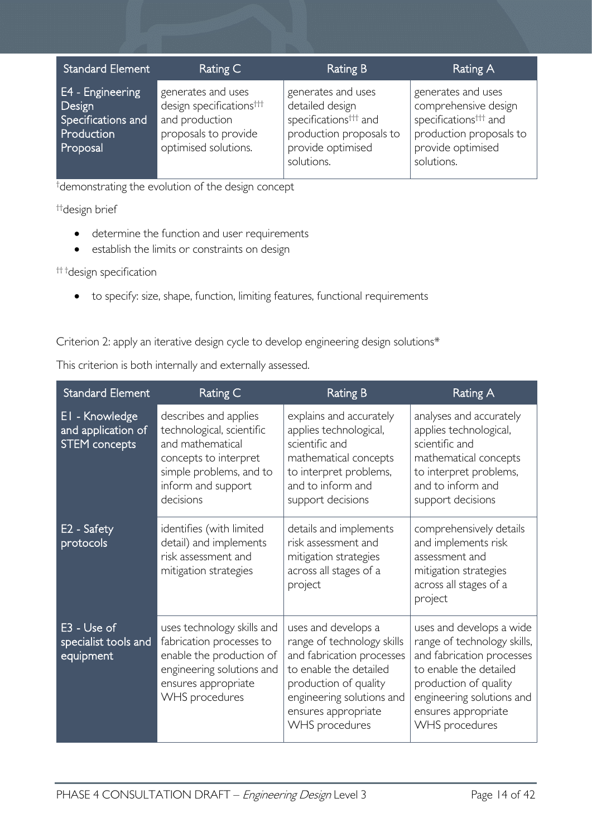| <b>Standard Element</b>                                                    | Rating C                                                                                                                     | Rating B                                                                                                                                 | Rating A                                                                                                                                      |
|----------------------------------------------------------------------------|------------------------------------------------------------------------------------------------------------------------------|------------------------------------------------------------------------------------------------------------------------------------------|-----------------------------------------------------------------------------------------------------------------------------------------------|
| E4 - Engineering<br>Design<br>Specifications and<br>Production<br>Proposal | generates and uses<br>design specifications <sup>†††</sup><br>and production<br>proposals to provide<br>optimised solutions. | generates and uses<br>detailed design<br>specifications <sup>†††</sup> and<br>production proposals to<br>provide optimised<br>solutions. | generates and uses<br>comprehensive design<br>specifications <sup>†††</sup> and<br>production proposals to<br>provide optimised<br>solutions. |

† demonstrating the evolution of the design concept

†† design brief

- determine the function and user requirements
- establish the limits or constraints on design

†† † design specification

• to specify: size, shape, function, limiting features, functional requirements

Criterion 2: apply an iterative design cycle to develop engineering design solutions\*

This criterion is both internally and externally assessed.

| <b>Standard Element</b>                                      | <b>Rating C</b>                                                                                                                                               | <b>Rating B</b>                                                                                                                                                                                         | Rating A                                                                                                                                                                                                      |
|--------------------------------------------------------------|---------------------------------------------------------------------------------------------------------------------------------------------------------------|---------------------------------------------------------------------------------------------------------------------------------------------------------------------------------------------------------|---------------------------------------------------------------------------------------------------------------------------------------------------------------------------------------------------------------|
| EI - Knowledge<br>and application of<br><b>STEM</b> concepts | describes and applies<br>technological, scientific<br>and mathematical<br>concepts to interpret<br>simple problems, and to<br>inform and support<br>decisions | explains and accurately<br>applies technological,<br>scientific and<br>mathematical concepts<br>to interpret problems,<br>and to inform and<br>support decisions                                        | analyses and accurately<br>applies technological,<br>scientific and<br>mathematical concepts<br>to interpret problems,<br>and to inform and<br>support decisions                                              |
| E2 - Safety<br>protocols                                     | identifies (with limited<br>detail) and implements<br>risk assessment and<br>mitigation strategies                                                            | details and implements<br>risk assessment and<br>mitigation strategies<br>across all stages of a<br>project                                                                                             | comprehensively details<br>and implements risk<br>assessment and<br>mitigation strategies<br>across all stages of a<br>project                                                                                |
| E3 - Use of<br>specialist tools and<br>equipment             | uses technology skills and<br>fabrication processes to<br>enable the production of<br>engineering solutions and<br>ensures appropriate<br>WHS procedures      | uses and develops a<br>range of technology skills<br>and fabrication processes<br>to enable the detailed<br>production of quality<br>engineering solutions and<br>ensures appropriate<br>WHS procedures | uses and develops a wide<br>range of technology skills,<br>and fabrication processes<br>to enable the detailed<br>production of quality<br>engineering solutions and<br>ensures appropriate<br>WHS procedures |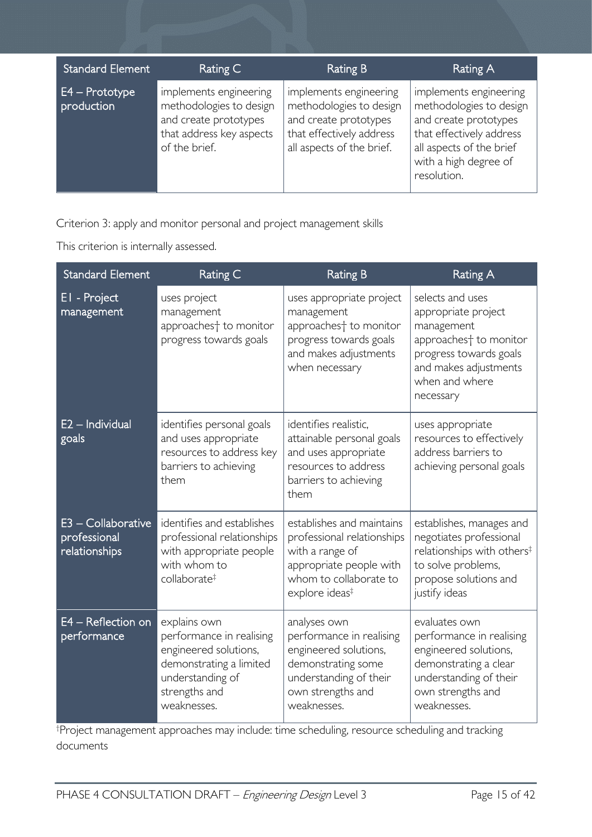| <b>Standard Element</b>        | Rating C                                                                                                                | <b>Rating B</b>                                                                                                                     | Rating A                                                                                                                                                                   |
|--------------------------------|-------------------------------------------------------------------------------------------------------------------------|-------------------------------------------------------------------------------------------------------------------------------------|----------------------------------------------------------------------------------------------------------------------------------------------------------------------------|
| $E4 -$ Prototype<br>production | implements engineering<br>methodologies to design<br>and create prototypes<br>that address key aspects<br>of the brief. | implements engineering<br>methodologies to design<br>and create prototypes<br>that effectively address<br>all aspects of the brief. | implements engineering<br>methodologies to design<br>and create prototypes<br>that effectively address<br>all aspects of the brief<br>with a high degree of<br>resolution. |

Criterion 3: apply and monitor personal and project management skills

This criterion is internally assessed.

| <b>Standard Element</b>                             | Rating C                                                                                                                                         | <b>Rating B</b>                                                                                                                                               | <b>Rating A</b>                                                                                                                                                               |
|-----------------------------------------------------|--------------------------------------------------------------------------------------------------------------------------------------------------|---------------------------------------------------------------------------------------------------------------------------------------------------------------|-------------------------------------------------------------------------------------------------------------------------------------------------------------------------------|
| El - Project<br>management                          | uses project<br>management<br>approaches <sup>+</sup> to monitor<br>progress towards goals                                                       | uses appropriate project<br>management<br>approaches <sup>+</sup> to monitor<br>progress towards goals<br>and makes adjustments<br>when necessary             | selects and uses<br>appropriate project<br>management<br>approaches <sup>+</sup> to monitor<br>progress towards goals<br>and makes adjustments<br>when and where<br>necessary |
| $\overline{E2}$ – Individual<br>goals               | identifies personal goals<br>and uses appropriate<br>resources to address key<br>barriers to achieving<br>them                                   | identifies realistic,<br>attainable personal goals<br>and uses appropriate<br>resources to address<br>barriers to achieving<br>them                           | uses appropriate<br>resources to effectively<br>address barriers to<br>achieving personal goals                                                                               |
| E3 - Collaborative<br>professional<br>relationships | identifies and establishes<br>professional relationships<br>with appropriate people<br>with whom to<br>collaborate <sup>#</sup>                  | establishes and maintains<br>professional relationships<br>with a range of<br>appropriate people with<br>whom to collaborate to<br>explore ideas <sup>#</sup> | establishes, manages and<br>negotiates professional<br>relationships with others <sup>‡</sup><br>to solve problems,<br>propose solutions and<br>justify ideas                 |
| E4 - Reflection on<br>performance                   | explains own<br>performance in realising<br>engineered solutions,<br>demonstrating a limited<br>understanding of<br>strengths and<br>weaknesses. | analyses own<br>performance in realising<br>engineered solutions,<br>demonstrating some<br>understanding of their<br>own strengths and<br>weaknesses.         | evaluates own<br>performance in realising<br>engineered solutions,<br>demonstrating a clear<br>understanding of their<br>own strengths and<br>weaknesses.                     |

† Project management approaches may include: time scheduling, resource scheduling and tracking documents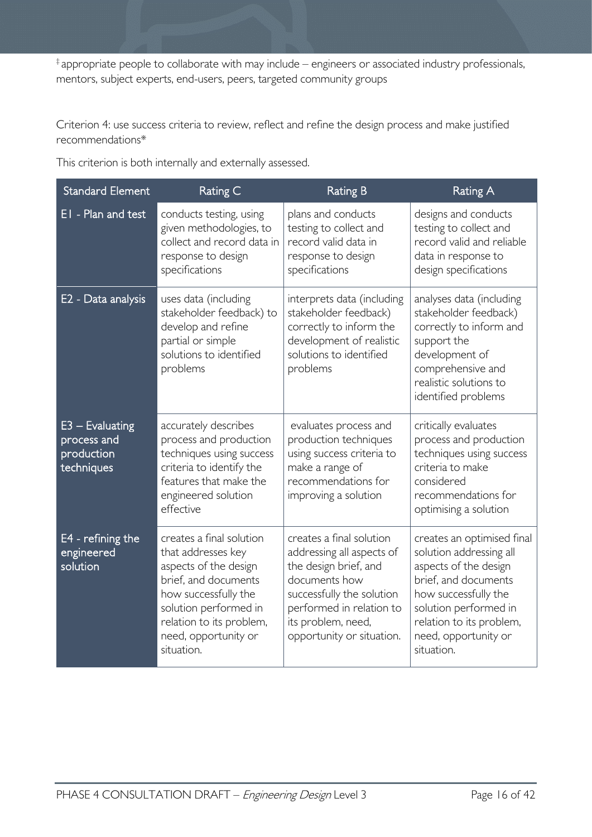‡ appropriate people to collaborate with may include – engineers or associated industry professionals, mentors, subject experts, end-users, peers, targeted community groups

Criterion 4: use success criteria to review, reflect and refine the design process and make justified recommendations\*

This criterion is both internally and externally assessed.

| <b>Standard Element</b>                                      | Rating C                                                                                                                                                                                                           | <b>Rating B</b>                                                                                                                                                                                             | Rating A                                                                                                                                                                                                                  |
|--------------------------------------------------------------|--------------------------------------------------------------------------------------------------------------------------------------------------------------------------------------------------------------------|-------------------------------------------------------------------------------------------------------------------------------------------------------------------------------------------------------------|---------------------------------------------------------------------------------------------------------------------------------------------------------------------------------------------------------------------------|
| EI - Plan and test                                           | conducts testing, using<br>given methodologies, to<br>collect and record data in<br>response to design<br>specifications                                                                                           | plans and conducts<br>testing to collect and<br>record valid data in<br>response to design<br>specifications                                                                                                | designs and conducts<br>testing to collect and<br>record valid and reliable<br>data in response to<br>design specifications                                                                                               |
| E2 - Data analysis                                           | uses data (including<br>stakeholder feedback) to<br>develop and refine<br>partial or simple<br>solutions to identified<br>problems                                                                                 | interprets data (including<br>stakeholder feedback)<br>correctly to inform the<br>development of realistic<br>solutions to identified<br>problems                                                           | analyses data (including<br>stakeholder feedback)<br>correctly to inform and<br>support the<br>development of<br>comprehensive and<br>realistic solutions to<br>identified problems                                       |
| $E3 -$ Evaluating<br>process and<br>production<br>techniques | accurately describes<br>process and production<br>techniques using success<br>criteria to identify the<br>features that make the<br>engineered solution<br>effective                                               | evaluates process and<br>production techniques<br>using success criteria to<br>make a range of<br>recommendations for<br>improving a solution                                                               | critically evaluates<br>process and production<br>techniques using success<br>criteria to make<br>considered<br>recommendations for<br>optimising a solution                                                              |
| $E4$ - refining the<br>engineered<br>solution                | creates a final solution<br>that addresses key<br>aspects of the design<br>brief, and documents<br>how successfully the<br>solution performed in<br>relation to its problem,<br>need, opportunity or<br>situation. | creates a final solution<br>addressing all aspects of<br>the design brief, and<br>documents how<br>successfully the solution<br>performed in relation to<br>its problem, need,<br>opportunity or situation. | creates an optimised final<br>solution addressing all<br>aspects of the design<br>brief, and documents<br>how successfully the<br>solution performed in<br>relation to its problem,<br>need, opportunity or<br>situation. |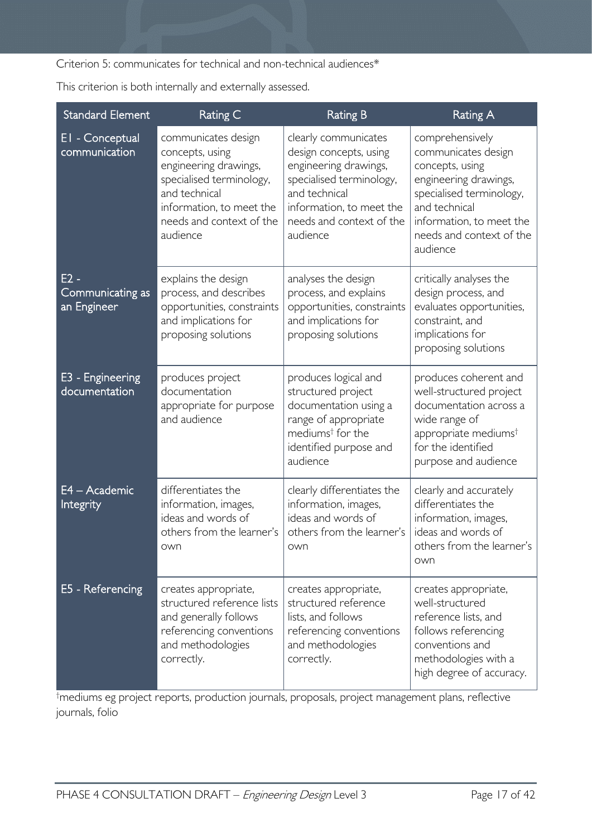Criterion 5: communicates for technical and non-technical audiences\*

This criterion is both internally and externally assessed.

| <b>Standard Element</b>                   | Rating C                                                                                                                                                                         | <b>Rating B</b>                                                                                                                                                                          | <b>Rating A</b>                                                                                                                                                                                     |
|-------------------------------------------|----------------------------------------------------------------------------------------------------------------------------------------------------------------------------------|------------------------------------------------------------------------------------------------------------------------------------------------------------------------------------------|-----------------------------------------------------------------------------------------------------------------------------------------------------------------------------------------------------|
| EI - Conceptual<br>communication          | communicates design<br>concepts, using<br>engineering drawings,<br>specialised terminology,<br>and technical<br>information, to meet the<br>needs and context of the<br>audience | clearly communicates<br>design concepts, using<br>engineering drawings,<br>specialised terminology,<br>and technical<br>information, to meet the<br>needs and context of the<br>audience | comprehensively<br>communicates design<br>concepts, using<br>engineering drawings,<br>specialised terminology,<br>and technical<br>information, to meet the<br>needs and context of the<br>audience |
| $E2 -$<br>Communicating as<br>an Engineer | explains the design<br>process, and describes<br>opportunities, constraints<br>and implications for<br>proposing solutions                                                       | analyses the design<br>process, and explains<br>opportunities, constraints<br>and implications for<br>proposing solutions                                                                | critically analyses the<br>design process, and<br>evaluates opportunities,<br>constraint, and<br>implications for<br>proposing solutions                                                            |
| E3 - Engineering<br>documentation         | produces project<br>documentation<br>appropriate for purpose<br>and audience                                                                                                     | produces logical and<br>structured project<br>documentation using a<br>range of appropriate<br>mediums <sup>†</sup> for the<br>identified purpose and<br>audience                        | produces coherent and<br>well-structured project<br>documentation across a<br>wide range of<br>appropriate mediums <sup>†</sup><br>for the identified<br>purpose and audience                       |
| E4 - Academic<br>Integrity                | differentiates the<br>information, images,<br>ideas and words of<br>others from the learner's<br>own                                                                             | clearly differentiates the<br>information, images,<br>ideas and words of<br>others from the learner's<br>own                                                                             | clearly and accurately<br>differentiates the<br>information, images,<br>ideas and words of<br>others from the learner's<br>own                                                                      |
| E5 - Referencing                          | creates appropriate,<br>structured reference lists<br>and generally follows<br>referencing conventions<br>and methodologies<br>correctly.                                        | creates appropriate,<br>structured reference<br>lists, and follows<br>referencing conventions<br>and methodologies<br>correctly.                                                         | creates appropriate,<br>well-structured<br>reference lists, and<br>follows referencing<br>conventions and<br>methodologies with a<br>high degree of accuracy.                                       |

† mediums eg project reports, production journals, proposals, project management plans, reflective journals, folio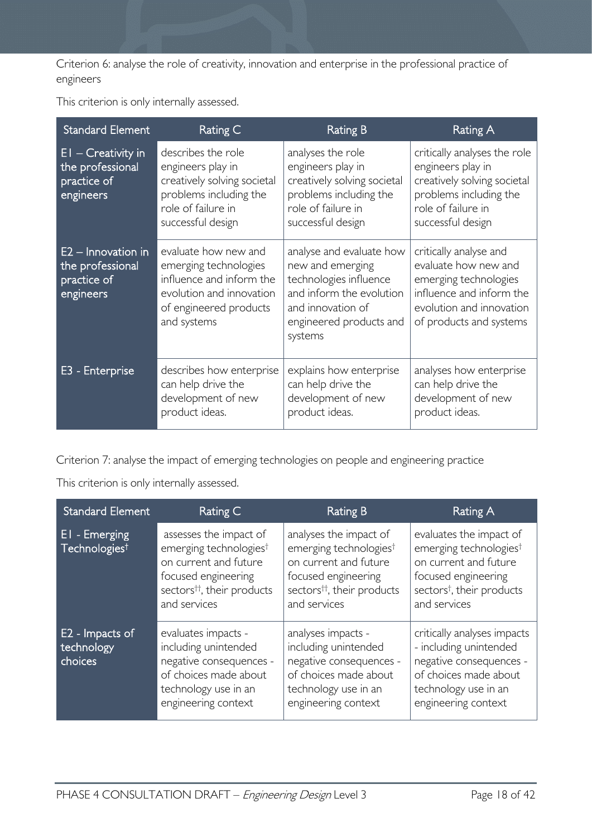Criterion 6: analyse the role of creativity, innovation and enterprise in the professional practice of engineers

This criterion is only internally assessed.

| <b>Standard Element</b>                                              | Rating C                                                                                                                                       | <b>Rating B</b>                                                                                                                                               | Rating A                                                                                                                                                   |
|----------------------------------------------------------------------|------------------------------------------------------------------------------------------------------------------------------------------------|---------------------------------------------------------------------------------------------------------------------------------------------------------------|------------------------------------------------------------------------------------------------------------------------------------------------------------|
| $EI - Creative$ in<br>the professional<br>practice of<br>engineers   | describes the role<br>engineers play in<br>creatively solving societal<br>problems including the<br>role of failure in<br>successful design    | analyses the role<br>engineers play in<br>creatively solving societal<br>problems including the<br>role of failure in<br>successful design                    | critically analyses the role<br>engineers play in<br>creatively solving societal<br>problems including the<br>role of failure in<br>successful design      |
| $E2 -$ Innovation in<br>the professional<br>practice of<br>engineers | evaluate how new and<br>emerging technologies<br>influence and inform the<br>evolution and innovation<br>of engineered products<br>and systems | analyse and evaluate how<br>new and emerging<br>technologies influence<br>and inform the evolution<br>and innovation of<br>engineered products and<br>systems | critically analyse and<br>evaluate how new and<br>emerging technologies<br>influence and inform the<br>evolution and innovation<br>of products and systems |
| E3 - Enterprise                                                      | describes how enterprise<br>can help drive the<br>development of new<br>product ideas.                                                         | explains how enterprise<br>can help drive the<br>development of new<br>product ideas.                                                                         | analyses how enterprise<br>can help drive the<br>development of new<br>product ideas.                                                                      |

Criterion 7: analyse the impact of emerging technologies on people and engineering practice

This criterion is only internally assessed.

| <b>Standard Element</b>                    | Rating C                                                                                                                                                               | <b>Rating B</b>                                                                                                                                                        | <b>Rating A</b>                                                                                                                                                        |
|--------------------------------------------|------------------------------------------------------------------------------------------------------------------------------------------------------------------------|------------------------------------------------------------------------------------------------------------------------------------------------------------------------|------------------------------------------------------------------------------------------------------------------------------------------------------------------------|
| EI - Emerging<br>Technologies <sup>t</sup> | assesses the impact of<br>emerging technologies <sup>†</sup><br>on current and future<br>focused engineering<br>sectors <sup>tt</sup> , their products<br>and services | analyses the impact of<br>emerging technologies <sup>†</sup><br>on current and future<br>focused engineering<br>sectors <sup>tt</sup> , their products<br>and services | evaluates the impact of<br>emerging technologies <sup>†</sup><br>on current and future<br>focused engineering<br>sectors <sup>†</sup> , their products<br>and services |
| E2 - Impacts of<br>technology<br>choices   | evaluates impacts -<br>including unintended<br>negative consequences -<br>of choices made about<br>technology use in an<br>engineering context                         | analyses impacts -<br>including unintended<br>negative consequences -<br>of choices made about<br>technology use in an<br>engineering context                          | critically analyses impacts<br>- including unintended<br>negative consequences -<br>of choices made about<br>technology use in an<br>engineering context               |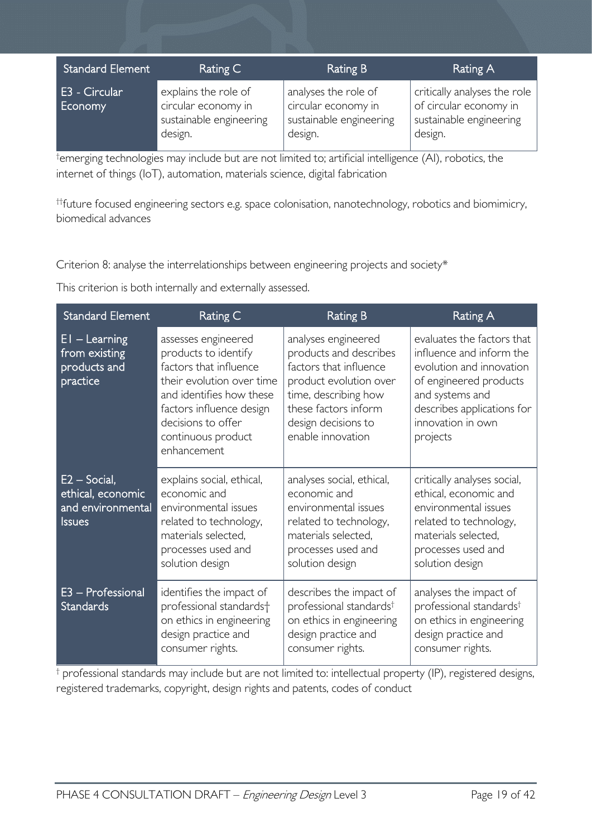| <b>Standard Element</b>         | Rating C                                                                          | Rating B                                                                          | Rating A                                                                                     |
|---------------------------------|-----------------------------------------------------------------------------------|-----------------------------------------------------------------------------------|----------------------------------------------------------------------------------------------|
| E3 - Circular<br><b>Economy</b> | explains the role of<br>circular economy in<br>sustainable engineering<br>design. | analyses the role of<br>circular economy in<br>sustainable engineering<br>design. | critically analyses the role<br>of circular economy in<br>sustainable engineering<br>design. |

† emerging technologies may include but are not limited to; artificial intelligence (AI), robotics, the internet of things (IoT), automation, materials science, digital fabrication

††future focused engineering sectors e.g. space colonisation, nanotechnology, robotics and biomimicry, biomedical advances

Criterion 8: analyse the interrelationships between engineering projects and society\*

This criterion is both internally and externally assessed.

| <b>Standard Element</b>                                                    | <b>Rating C</b>                                                                                                                                                                                                       | <b>Rating B</b>                                                                                                                                                                               | Rating A                                                                                                                                                                                       |
|----------------------------------------------------------------------------|-----------------------------------------------------------------------------------------------------------------------------------------------------------------------------------------------------------------------|-----------------------------------------------------------------------------------------------------------------------------------------------------------------------------------------------|------------------------------------------------------------------------------------------------------------------------------------------------------------------------------------------------|
| $EI - Learning$<br>from existing<br>products and<br>practice               | assesses engineered<br>products to identify<br>factors that influence<br>their evolution over time<br>and identifies how these<br>factors influence design<br>decisions to offer<br>continuous product<br>enhancement | analyses engineered<br>products and describes<br>factors that influence<br>product evolution over<br>time, describing how<br>these factors inform<br>design decisions to<br>enable innovation | evaluates the factors that<br>influence and inform the<br>evolution and innovation<br>of engineered products<br>and systems and<br>describes applications for<br>innovation in own<br>projects |
| $E2 - Social$ ,<br>ethical, economic<br>and environmental<br><b>Issues</b> | explains social, ethical,<br>economic and<br>environmental issues<br>related to technology,<br>materials selected,<br>processes used and<br>solution design                                                           | analyses social, ethical,<br>economic and<br>environmental issues<br>related to technology,<br>materials selected,<br>processes used and<br>solution design                                   | critically analyses social,<br>ethical, economic and<br>environmental issues<br>related to technology,<br>materials selected,<br>processes used and<br>solution design                         |
| E3 - Professional<br><b>Standards</b>                                      | identifies the impact of<br>professional standards+<br>on ethics in engineering<br>design practice and<br>consumer rights.                                                                                            | describes the impact of<br>professional standards <sup>†</sup><br>on ethics in engineering<br>design practice and<br>consumer rights.                                                         | analyses the impact of<br>professional standards <sup>†</sup><br>on ethics in engineering<br>design practice and<br>consumer rights.                                                           |

† professional standards may include but are not limited to: intellectual property (IP), registered designs, registered trademarks, copyright, design rights and patents, codes of conduct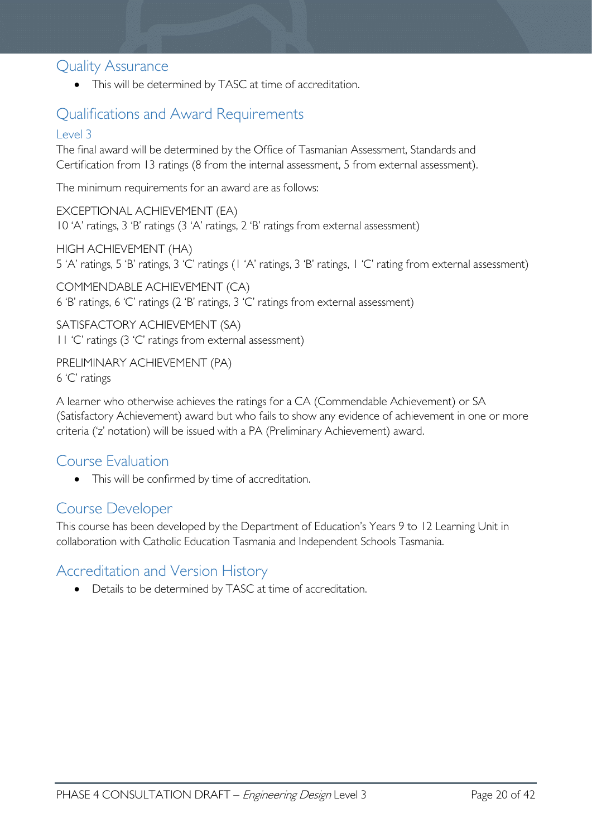### <span id="page-19-0"></span>Quality Assurance

• This will be determined by TASC at time of accreditation.

# <span id="page-19-1"></span>Qualifications and Award Requirements

#### <span id="page-19-2"></span>Level 3

The final award will be determined by the Office of Tasmanian Assessment, Standards and Certification from 13 ratings (8 from the internal assessment, 5 from external assessment).

The minimum requirements for an award are as follows:

EXCEPTIONAL ACHIEVEMENT (EA) 10 'A' ratings, 3 'B' ratings (3 'A' ratings, 2 'B' ratings from external assessment)

HIGH ACHIEVEMENT (HA) 5 'A' ratings, 5 'B' ratings, 3 'C' ratings (1 'A' ratings, 3 'B' ratings, 1 'C' rating from external assessment)

COMMENDABLE ACHIEVEMENT (CA) 6 'B' ratings, 6 'C' ratings (2 'B' ratings, 3 'C' ratings from external assessment)

SATISFACTORY ACHIEVEMENT (SA) 11 'C' ratings (3 'C' ratings from external assessment)

PRELIMINARY ACHIEVEMENT (PA) 6 'C' ratings

A learner who otherwise achieves the ratings for a CA (Commendable Achievement) or SA (Satisfactory Achievement) award but who fails to show any evidence of achievement in one or more criteria ('z' notation) will be issued with a PA (Preliminary Achievement) award.

# <span id="page-19-3"></span>Course Evaluation

• This will be confirmed by time of accreditation.

### <span id="page-19-4"></span>Course Developer

This course has been developed by the Department of Education's Years 9 to 12 Learning Unit in collaboration with Catholic Education Tasmania and Independent Schools Tasmania.

# <span id="page-19-5"></span>Accreditation and Version History

• Details to be determined by TASC at time of accreditation.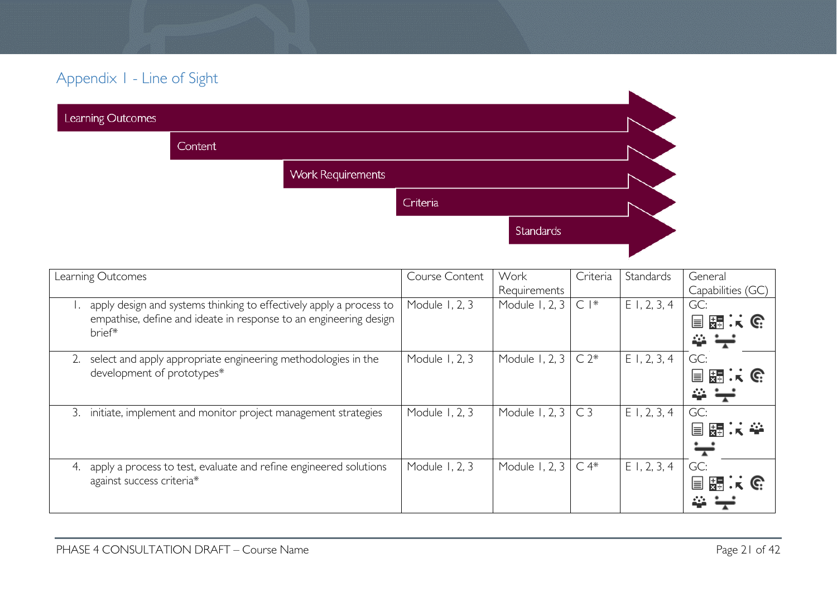# Appendix 1 - Line of Sight

| Learning Outcomes |         |                          |          |           |  |
|-------------------|---------|--------------------------|----------|-----------|--|
|                   | Content |                          |          |           |  |
|                   |         | <b>Work Requirements</b> |          |           |  |
|                   |         |                          | Criteria |           |  |
|                   |         |                          |          | Standards |  |
|                   |         |                          |          |           |  |

<span id="page-20-0"></span>

| Learning Outcomes                                                                   | Course Content | Work                     | Criteria  | Standards      | General           |
|-------------------------------------------------------------------------------------|----------------|--------------------------|-----------|----------------|-------------------|
|                                                                                     |                | Requirements             |           |                | Capabilities (GC) |
| apply design and systems thinking to effectively apply a process to<br>$\mathbf{L}$ | Module 1, 2, 3 | Module 1, 2, 3           | $C$   $*$ | $E$ 1, 2, 3, 4 | GC:               |
| empathise, define and ideate in response to an engineering design                   |                |                          |           |                | 国盟大会              |
| brief*                                                                              |                |                          |           |                | 44                |
| select and apply appropriate engineering methodologies in the<br>2.                 | Module 1, 2, 3 | Module 1, 2, 3           | $C2*$     | $E$ 1, 2, 3, 4 | GC:               |
| development of prototypes*                                                          |                |                          |           |                | 目闘:(              |
|                                                                                     |                |                          |           |                | 4                 |
| initiate, implement and monitor project management strategies<br>3.                 | Module 1, 2, 3 | Module 1, 2, $3 \mid C3$ |           | $E$ 1, 2, 3, 4 | GC:               |
|                                                                                     |                |                          |           |                | 冒關味藥              |
|                                                                                     |                |                          |           |                |                   |
| apply a process to test, evaluate and refine engineered solutions<br>4.             | Module 1, 2, 3 | Module 1, 2, 3           | $C4*$     | $E$ 1, 2, 3, 4 | GC:               |
| against success criteria*                                                           |                |                          |           |                | 冒<br>開まで          |
|                                                                                     |                |                          |           |                |                   |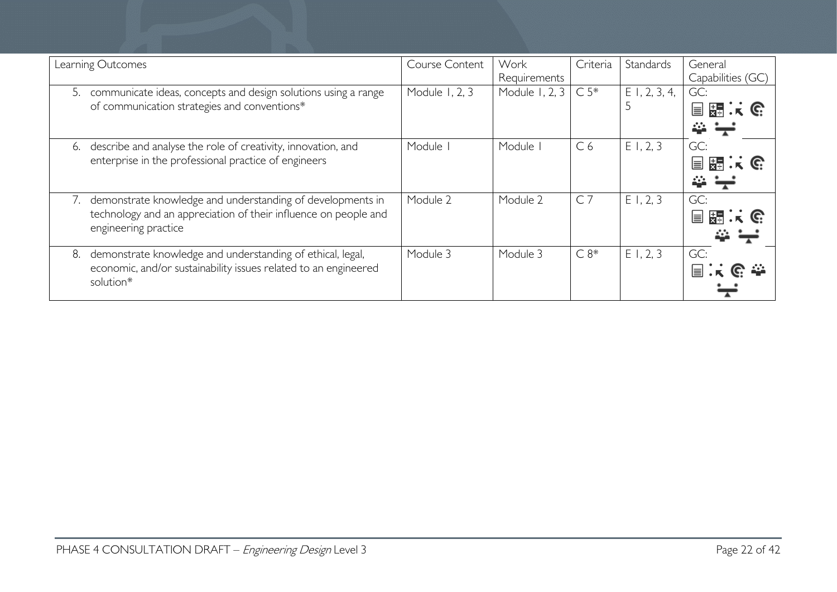| Learning Outcomes                                                    | Course Content | Work           | Criteria       | Standards       | General                             |
|----------------------------------------------------------------------|----------------|----------------|----------------|-----------------|-------------------------------------|
|                                                                      |                | Requirements   |                |                 | Capabilities (GC)                   |
| communicate ideas, concepts and design solutions using a range<br>5. | Module 1, 2, 3 | Module 1, 2, 3 | $C5*$          | $E$ 1, 2, 3, 4, | GC:                                 |
| of communication strategies and conventions*                         |                |                |                |                 | $\frac{1}{2}$ in $\frac{1}{2}$<br>Ħ |
|                                                                      |                |                |                |                 |                                     |
| describe and analyse the role of creativity, innovation, and<br>6.   | Module         | Module         | C <sub>6</sub> | E1, 2, 3        | GC:                                 |
| enterprise in the professional practice of engineers                 |                |                |                |                 | 開入で<br>$\equiv$                     |
|                                                                      |                |                |                |                 |                                     |
| demonstrate knowledge and understanding of developments in<br>7.     | Module 2       | Module 2       | $C$ 7          | E1, 2, 3        | GC:                                 |
| technology and an appreciation of their influence on people and      |                |                |                |                 | $\equiv$<br>開味で                     |
| engineering practice                                                 |                |                |                |                 |                                     |
| demonstrate knowledge and understanding of ethical, legal,<br>8.     | Module 3       | Module 3       | $C8*$          | E1, 2, 3        | GC:                                 |
| economic, and/or sustainability issues related to an engineered      |                |                |                |                 | $\equiv$                            |
| solution*                                                            |                |                |                |                 |                                     |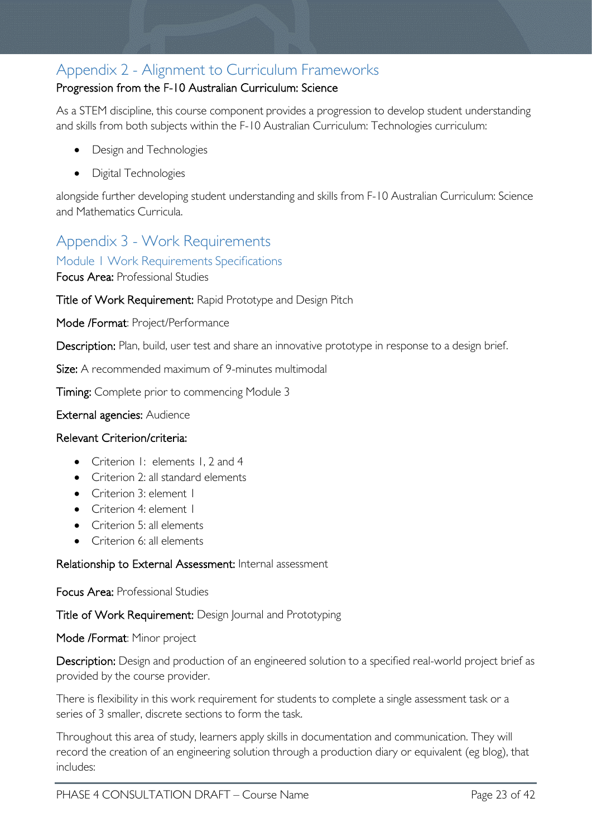# <span id="page-22-0"></span>Appendix 2 - Alignment to Curriculum Frameworks

#### Progression from the F-10 Australian Curriculum: Science

As a STEM discipline, this course component provides a progression to develop student understanding and skills from both subjects within the F-10 Australian Curriculum: Technologies curriculum:

- Design and Technologies
- Digital Technologies

alongside further developing student understanding and skills from F-10 Australian Curriculum: Science and Mathematics Curricula.

# <span id="page-22-1"></span>Appendix 3 - Work Requirements

<span id="page-22-2"></span>Module 1 Work Requirements Specifications

Focus Area: Professional Studies

#### Title of Work Requirement: Rapid Prototype and Design Pitch

Mode /Format: Project/Performance

Description: Plan, build, user test and share an innovative prototype in response to a design brief.

Size: A recommended maximum of 9-minutes multimodal

Timing: Complete prior to commencing Module 3

#### External agencies: Audience

#### Relevant Criterion/criteria:

- Criterion I: elements I, 2 and 4
- Criterion 2: all standard elements
- Criterion 3: element 1
- Criterion 4: element |
- Criterion 5: all elements
- Criterion 6: all elements

Relationship to External Assessment: Internal assessment

Focus Area: Professional Studies

Title of Work Requirement: Design Journal and Prototyping

#### Mode /Format: Minor project

Description: Design and production of an engineered solution to a specified real-world project brief as provided by the course provider.

There is flexibility in this work requirement for students to complete a single assessment task or a series of 3 smaller, discrete sections to form the task.

Throughout this area of study, learners apply skills in documentation and communication. They will record the creation of an engineering solution through a production diary or equivalent (eg blog), that includes: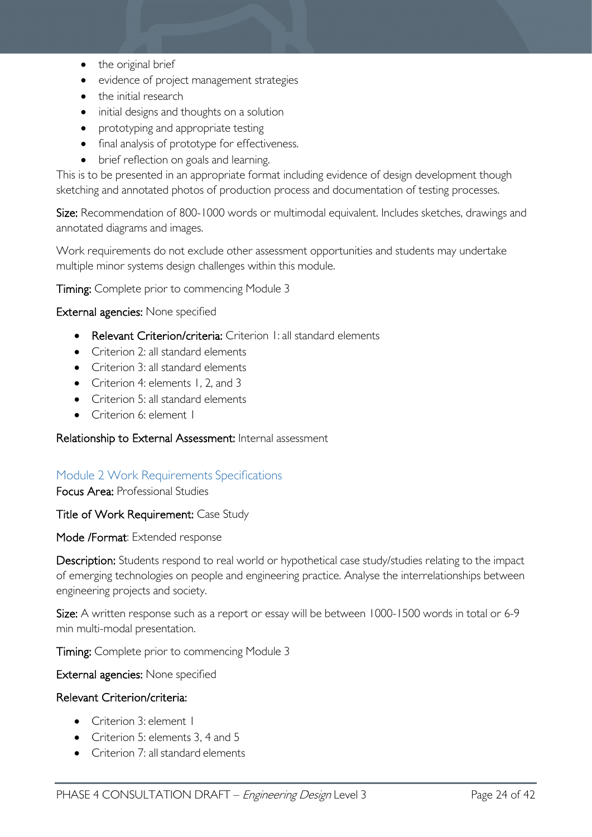- the original brief
- evidence of project management strategies
- the initial research
- initial designs and thoughts on a solution
- prototyping and appropriate testing
- final analysis of prototype for effectiveness.
- brief reflection on goals and learning.

This is to be presented in an appropriate format including evidence of design development though sketching and annotated photos of production process and documentation of testing processes.

Size: Recommendation of 800-1000 words or multimodal equivalent. Includes sketches, drawings and annotated diagrams and images.

Work requirements do not exclude other assessment opportunities and students may undertake multiple minor systems design challenges within this module.

Timing: Complete prior to commencing Module 3

#### External agencies: None specified

- Relevant Criterion/criteria: Criterion 1: all standard elements
- Criterion 2: all standard elements
- Criterion 3: all standard elements
- Criterion 4: elements 1, 2, and 3
- Criterion 5: all standard elements
- Criterion 6: element I

Relationship to External Assessment: Internal assessment

#### <span id="page-23-0"></span>Module 2 Work Requirements Specifications

Focus Area: Professional Studies

#### Title of Work Requirement: Case Study

Mode /Format: Extended response

Description: Students respond to real world or hypothetical case study/studies relating to the impact of emerging technologies on people and engineering practice. Analyse the interrelationships between engineering projects and society.

Size: A written response such as a report or essay will be between 1000-1500 words in total or 6-9 min multi-modal presentation.

Timing: Complete prior to commencing Module 3

External agencies: None specified

#### Relevant Criterion/criteria:

- Criterion 3: element 1
- Criterion 5: elements 3.4 and 5
- Criterion 7: all standard elements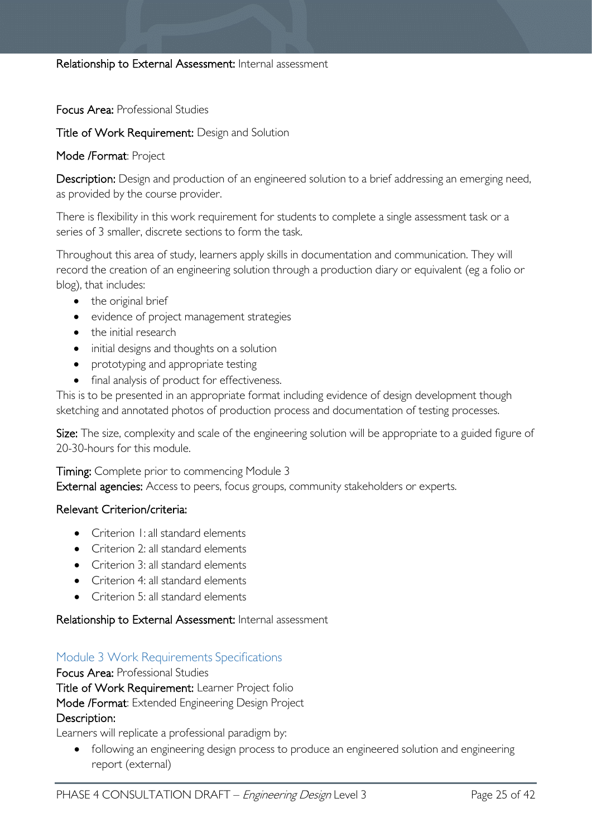#### Focus Area: Professional Studies

#### Title of Work Requirement: Design and Solution

#### Mode /Format: Project

Description: Design and production of an engineered solution to a brief addressing an emerging need, as provided by the course provider.

There is flexibility in this work requirement for students to complete a single assessment task or a series of 3 smaller, discrete sections to form the task.

Throughout this area of study, learners apply skills in documentation and communication. They will record the creation of an engineering solution through a production diary or equivalent (eg a folio or blog), that includes:

- the original brief
- evidence of project management strategies
- the initial research
- initial designs and thoughts on a solution
- prototyping and appropriate testing
- final analysis of product for effectiveness.

This is to be presented in an appropriate format including evidence of design development though sketching and annotated photos of production process and documentation of testing processes.

Size: The size, complexity and scale of the engineering solution will be appropriate to a guided figure of 20-30-hours for this module.

Timing: Complete prior to commencing Module 3 External agencies: Access to peers, focus groups, community stakeholders or experts.

#### Relevant Criterion/criteria:

- Criterion I: all standard elements
- Criterion 2: all standard elements
- Criterion 3: all standard elements
- Criterion 4: all standard elements
- Criterion 5: all standard elements

#### Relationship to External Assessment: Internal assessment

#### <span id="page-24-0"></span>Module 3 Work Requirements Specifications

Focus Area: Professional Studies Title of Work Requirement: Learner Project folio Mode /Format: Extended Engineering Design Project Description:

Learners will replicate a professional paradigm by:

• following an engineering design process to produce an engineered solution and engineering report (external)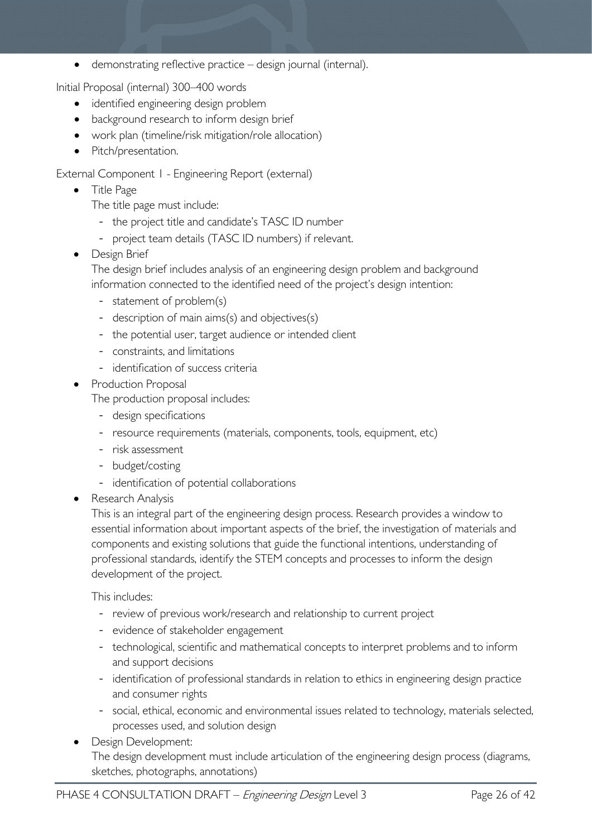• demonstrating reflective practice – design journal (internal).

Initial Proposal (internal) 300–400 words

- identified engineering design problem
- background research to inform design brief
- work plan (timeline/risk mitigation/role allocation)
- Pitch/presentation.

External Component 1 - Engineering Report (external)

- Title Page
	- The title page must include:
		- the project title and candidate's TASC ID number
		- project team details (TASC ID numbers) if relevant.
- Design Brief

The design brief includes analysis of an engineering design problem and background information connected to the identified need of the project's design intention:

- statement of problem(s)
- description of main aims(s) and objectives(s)
- the potential user, target audience or intended client
- constraints, and limitations
- identification of success criteria
- Production Proposal
	- The production proposal includes:
		- design specifications
		- resource requirements (materials, components, tools, equipment, etc)
		- risk assessment
		- budget/costing
		- identification of potential collaborations
- Research Analysis

This is an integral part of the engineering design process. Research provides a window to essential information about important aspects of the brief, the investigation of materials and components and existing solutions that guide the functional intentions, understanding of professional standards, identify the STEM concepts and processes to inform the design development of the project.

This includes:

- review of previous work/research and relationship to current project
- evidence of stakeholder engagement
- technological, scientific and mathematical concepts to interpret problems and to inform and support decisions
- identification of professional standards in relation to ethics in engineering design practice and consumer rights
- social, ethical, economic and environmental issues related to technology, materials selected, processes used, and solution design
- Design Development: The design development must include articulation of the engineering design process (diagrams, sketches, photographs, annotations)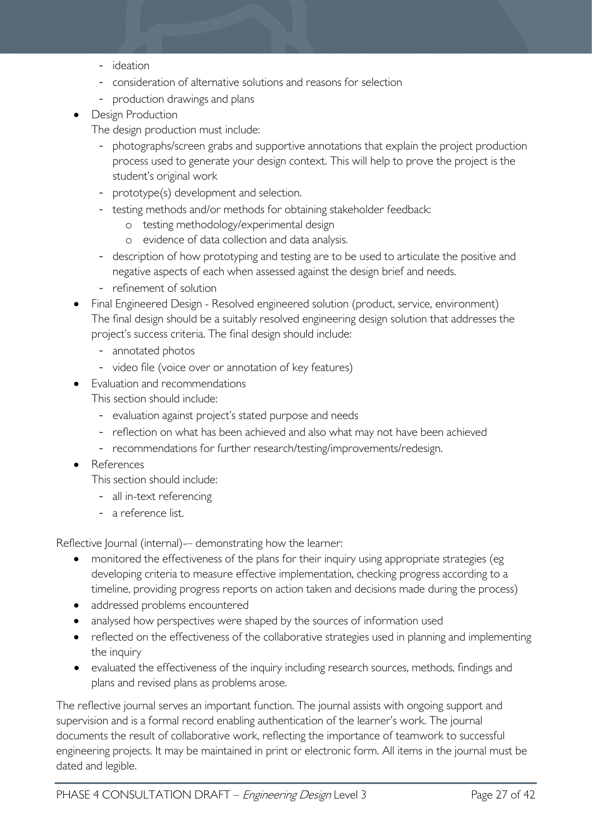- ideation
- consideration of alternative solutions and reasons for selection
- production drawings and plans
- Design Production

The design production must include:

- photographs/screen grabs and supportive annotations that explain the project production process used to generate your design context. This will help to prove the project is the student's original work
- prototype(s) development and selection.
- testing methods and/or methods for obtaining stakeholder feedback:
	- o testing methodology/experimental design
	- o evidence of data collection and data analysis.
- description of how prototyping and testing are to be used to articulate the positive and negative aspects of each when assessed against the design brief and needs.
- refinement of solution
- Final Engineered Design Resolved engineered solution (product, service, environment) The final design should be a suitably resolved engineering design solution that addresses the project's success criteria. The final design should include:
	- annotated photos
	- video file (voice over or annotation of key features)
- Evaluation and recommendations
	- This section should include:
		- evaluation against project's stated purpose and needs
		- reflection on what has been achieved and also what may not have been achieved
		- recommendations for further research/testing/improvements/redesign.
- References

This section should include:

- all in-text referencing
- a reference list.

Reflective Journal (internal)- demonstrating how the learner:

- monitored the effectiveness of the plans for their inquiry using appropriate strategies (eg developing criteria to measure effective implementation, checking progress according to a timeline, providing progress reports on action taken and decisions made during the process)
- addressed problems encountered
- analysed how perspectives were shaped by the sources of information used
- reflected on the effectiveness of the collaborative strategies used in planning and implementing the inquiry
- evaluated the effectiveness of the inquiry including research sources, methods, findings and plans and revised plans as problems arose.

The reflective journal serves an important function. The journal assists with ongoing support and supervision and is a formal record enabling authentication of the learner's work. The journal documents the result of collaborative work, reflecting the importance of teamwork to successful engineering projects. It may be maintained in print or electronic form. All items in the journal must be dated and legible.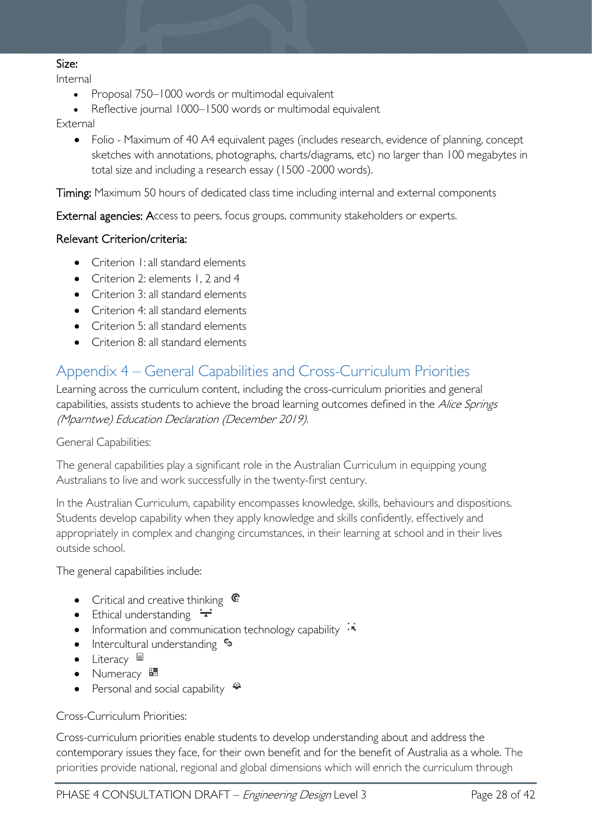#### Size:

Internal

- Proposal 750–1000 words or multimodal equivalent
- Reflective journal 1000–1500 words or multimodal equivalent

#### External

• Folio - Maximum of 40 A4 equivalent pages (includes research, evidence of planning, concept sketches with annotations, photographs, charts/diagrams, etc) no larger than 100 megabytes in total size and including a research essay (1500 -2000 words).

Timing: Maximum 50 hours of dedicated class time including internal and external components

External agencies: Access to peers, focus groups, community stakeholders or experts.

#### Relevant Criterion/criteria:

- Criterion 1: all standard elements
- Criterion 2: elements 1, 2 and 4
- Criterion 3: all standard elements
- Criterion 4: all standard elements
- Criterion 5: all standard elements
- Criterion 8: all standard elements

# <span id="page-27-0"></span>Appendix 4 – General Capabilities and Cross-Curriculum Priorities

Learning across the curriculum content, including the cross-curriculum priorities and general capabilities, assists students to achieve the broad learning outcomes defined in the Alice Springs (Mparntwe) Education Declaration (December 2019).

#### General Capabilities:

The general capabilities play a significant role in the Australian Curriculum in equipping young Australians to live and work successfully in the twenty-first century.

In the Australian Curriculum, capability encompasses knowledge, skills, behaviours and dispositions. Students develop capability when they apply knowledge and skills confidently, effectively and appropriately in complex and changing circumstances, in their learning at school and in their lives outside school.

The general capabilities include:

- Critical and creative thinking  $\mathbb{C}$
- Ethical understanding  $\div$
- Information and communication technology capability  $\cdot\overline{\cdot}$
- Intercultural understanding •
- Literacy
- Numeracy  $\frac{1}{2}$
- Personal and social capability  $\ddot{\ddot{\bullet}}$

#### Cross-Curriculum Priorities:

Cross-curriculum priorities enable students to develop understanding about and address the contemporary issues they face, for their own benefit and for the benefit of Australia as a whole. The priorities provide national, regional and global dimensions which will enrich the curriculum through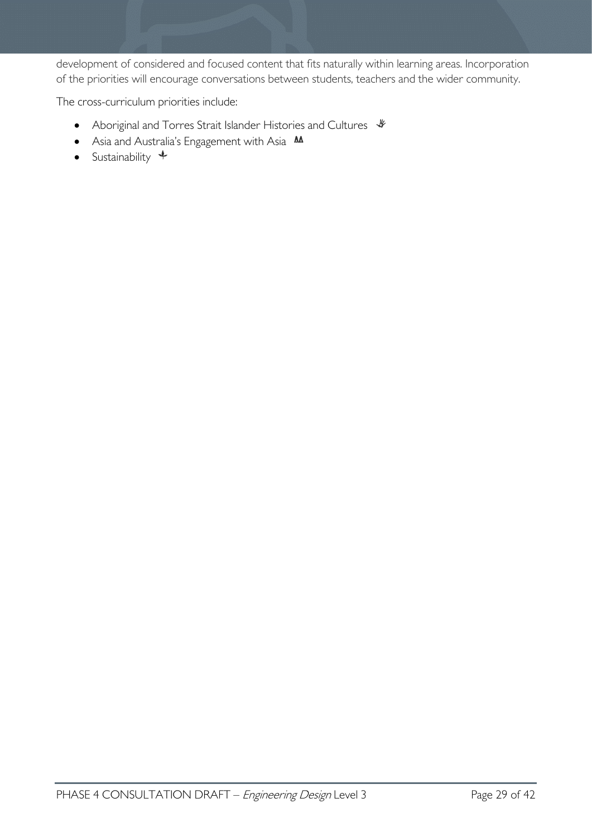development of considered and focused content that fits naturally within learning areas. Incorporation of the priorities will encourage conversations between students, teachers and the wider community.

The cross-curriculum priorities include:

- Aboriginal and Torres Strait Islander Histories and Cultures  $\mathcal *$
- Asia and Australia's Engagement with Asia  $^{\text{AA}}$
- Sustainability  $+$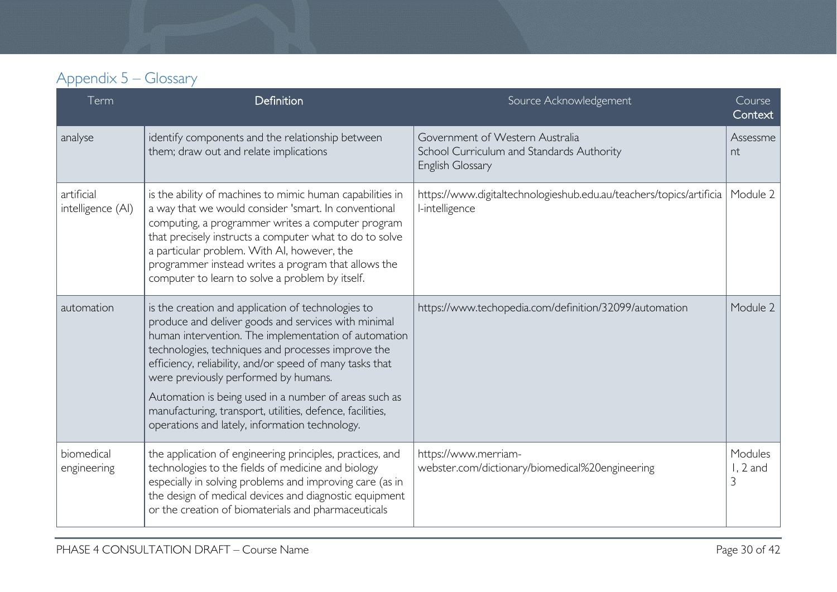# Appendix 5 – Glossary

<span id="page-29-0"></span>

| Term                            | Definition                                                                                                                                                                                                                                                                                                                                                                                                                                                                                          | Source Acknowledgement                                                                           | Course<br>Context          |
|---------------------------------|-----------------------------------------------------------------------------------------------------------------------------------------------------------------------------------------------------------------------------------------------------------------------------------------------------------------------------------------------------------------------------------------------------------------------------------------------------------------------------------------------------|--------------------------------------------------------------------------------------------------|----------------------------|
| analyse                         | identify components and the relationship between<br>them; draw out and relate implications                                                                                                                                                                                                                                                                                                                                                                                                          | Government of Western Australia<br>School Curriculum and Standards Authority<br>English Glossary | Assessme<br>nt             |
| artificial<br>intelligence (AI) | is the ability of machines to mimic human capabilities in<br>a way that we would consider 'smart. In conventional<br>computing, a programmer writes a computer program<br>that precisely instructs a computer what to do to solve<br>a particular problem. With AI, however, the<br>programmer instead writes a program that allows the<br>computer to learn to solve a problem by itself.                                                                                                          | https://www.digitaltechnologieshub.edu.au/teachers/topics/artificia<br>l-intelligence            | Module 2                   |
| automation                      | is the creation and application of technologies to<br>produce and deliver goods and services with minimal<br>human intervention. The implementation of automation<br>technologies, techniques and processes improve the<br>efficiency, reliability, and/or speed of many tasks that<br>were previously performed by humans.<br>Automation is being used in a number of areas such as<br>manufacturing, transport, utilities, defence, facilities,<br>operations and lately, information technology. | https://www.techopedia.com/definition/32099/automation                                           | Module 2                   |
| biomedical<br>engineering       | the application of engineering principles, practices, and<br>technologies to the fields of medicine and biology<br>especially in solving problems and improving care (as in<br>the design of medical devices and diagnostic equipment<br>or the creation of biomaterials and pharmaceuticals                                                                                                                                                                                                        | https://www.merriam-<br>webster.com/dictionary/biomedical%20engineering                          | Modules<br>$1, 2$ and<br>3 |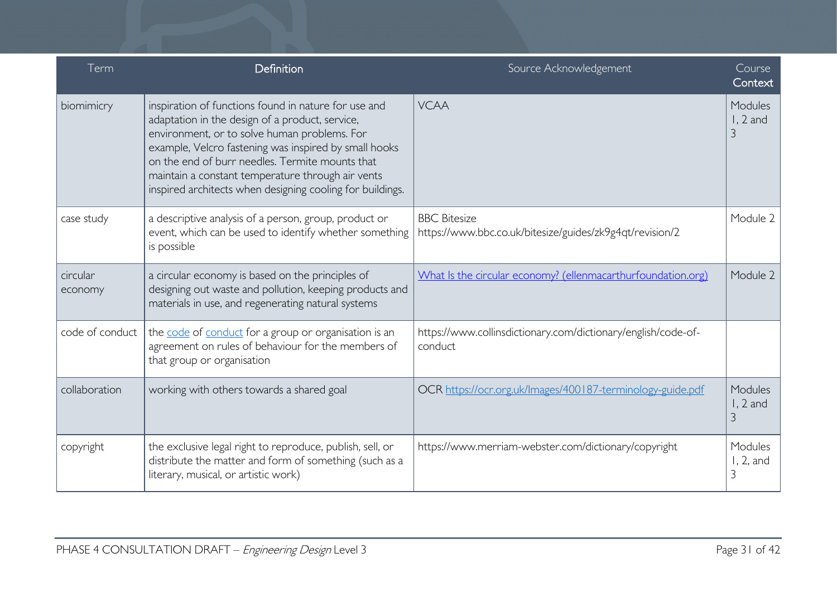| Term                | Definition                                                                                                                                                                                                                                                                                                                                                                            | Source Acknowledgement                                                          | Course<br>Context          |
|---------------------|---------------------------------------------------------------------------------------------------------------------------------------------------------------------------------------------------------------------------------------------------------------------------------------------------------------------------------------------------------------------------------------|---------------------------------------------------------------------------------|----------------------------|
| biomimicry          | inspiration of functions found in nature for use and<br>adaptation in the design of a product, service,<br>environment, or to solve human problems. For<br>example, Velcro fastening was inspired by small hooks<br>on the end of burr needles. Termite mounts that<br>maintain a constant temperature through air vents<br>inspired architects when designing cooling for buildings. | <b>VCAA</b>                                                                     | Modules<br>$1, 2$ and<br>3 |
| case study          | a descriptive analysis of a person, group, product or<br>event, which can be used to identify whether something<br>is possible                                                                                                                                                                                                                                                        | <b>BBC</b> Bitesize<br>https://www.bbc.co.uk/bitesize/guides/zk9g4qt/revision/2 | Module 2                   |
| circular<br>economy | a circular economy is based on the principles of<br>designing out waste and pollution, keeping products and<br>materials in use, and regenerating natural systems                                                                                                                                                                                                                     | What Is the circular economy? (ellenmacarthurfoundation.org)                    | Module 2                   |
| code of conduct     | the code of conduct for a group or organisation is an<br>agreement on rules of behaviour for the members of<br>that group or organisation                                                                                                                                                                                                                                             | https://www.collinsdictionary.com/dictionary/english/code-of-<br>conduct        |                            |
| collaboration       | working with others towards a shared goal                                                                                                                                                                                                                                                                                                                                             | OCR https://ocr.org.uk/Images/400187-terminology-guide.pdf                      | Modules<br>$1, 2$ and<br>3 |
| copyright           | the exclusive legal right to reproduce, publish, sell, or<br>distribute the matter and form of something (such as a<br>literary, musical, or artistic work)                                                                                                                                                                                                                           | https://www.merriam-webster.com/dictionary/copyright                            | Modules<br>1, 2, and<br>3  |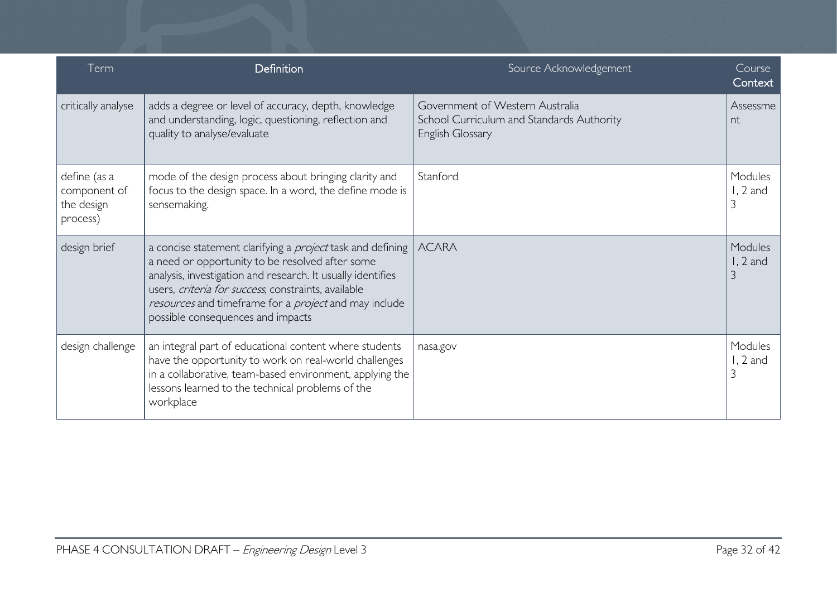| Term                                                   | Definition                                                                                                                                                                                                                                                                                                                               | Source Acknowledgement                                                                           | Course<br>Context          |
|--------------------------------------------------------|------------------------------------------------------------------------------------------------------------------------------------------------------------------------------------------------------------------------------------------------------------------------------------------------------------------------------------------|--------------------------------------------------------------------------------------------------|----------------------------|
| critically analyse                                     | adds a degree or level of accuracy, depth, knowledge<br>and understanding, logic, questioning, reflection and<br>quality to analyse/evaluate                                                                                                                                                                                             | Government of Western Australia<br>School Curriculum and Standards Authority<br>English Glossary | Assessme<br>nt             |
| define (as a<br>component of<br>the design<br>process) | mode of the design process about bringing clarity and<br>focus to the design space. In a word, the define mode is<br>sensemaking.                                                                                                                                                                                                        | Stanford                                                                                         | Modules<br>$1, 2$ and<br>3 |
| design brief                                           | a concise statement clarifying a <i>project</i> task and defining<br>a need or opportunity to be resolved after some<br>analysis, investigation and research. It usually identifies<br>users, criteria for success, constraints, available<br>resources and timeframe for a project and may include<br>possible consequences and impacts | <b>ACARA</b>                                                                                     | Modules<br>$1, 2$ and<br>3 |
| design challenge                                       | an integral part of educational content where students<br>have the opportunity to work on real-world challenges<br>in a collaborative, team-based environment, applying the<br>lessons learned to the technical problems of the<br>workplace                                                                                             | nasa.gov                                                                                         | Modules<br>$1, 2$ and<br>3 |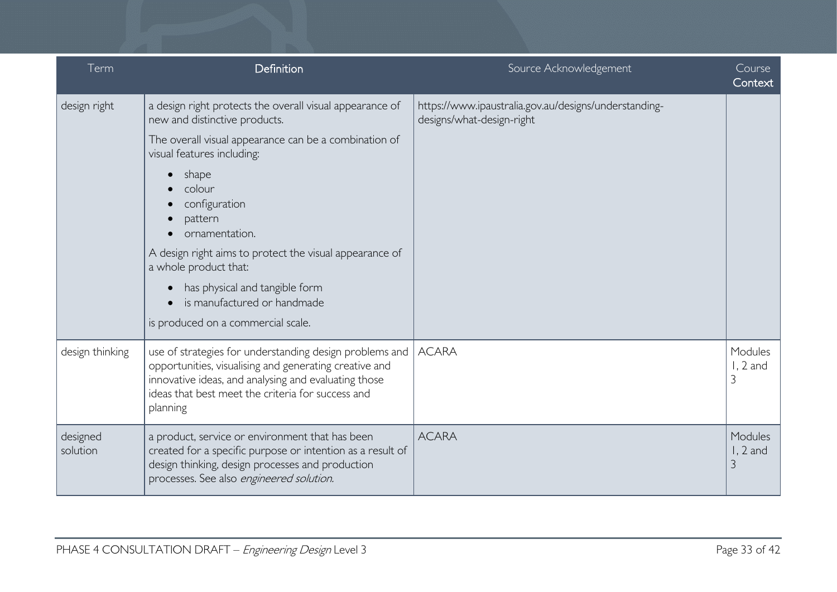| Term                 | Definition                                                                                                                                                                                                                                                                                                                                                                                                                                                             | Source Acknowledgement                                                             | Course<br>Context          |
|----------------------|------------------------------------------------------------------------------------------------------------------------------------------------------------------------------------------------------------------------------------------------------------------------------------------------------------------------------------------------------------------------------------------------------------------------------------------------------------------------|------------------------------------------------------------------------------------|----------------------------|
| design right         | a design right protects the overall visual appearance of<br>new and distinctive products.<br>The overall visual appearance can be a combination of<br>visual features including:<br>shape<br>$\bullet$<br>colour<br>configuration<br>pattern<br>ornamentation.<br>A design right aims to protect the visual appearance of<br>a whole product that:<br>has physical and tangible form<br>$\bullet$<br>is manufactured or handmade<br>is produced on a commercial scale. | https://www.ipaustralia.gov.au/designs/understanding-<br>designs/what-design-right |                            |
| design thinking      | use of strategies for understanding design problems and<br>opportunities, visualising and generating creative and<br>innovative ideas, and analysing and evaluating those<br>ideas that best meet the criteria for success and<br>planning                                                                                                                                                                                                                             | <b>ACARA</b>                                                                       | Modules<br>$1, 2$ and<br>3 |
| designed<br>solution | a product, service or environment that has been<br>created for a specific purpose or intention as a result of<br>design thinking, design processes and production<br>processes. See also engineered solution.                                                                                                                                                                                                                                                          | <b>ACARA</b>                                                                       | Modules<br>$1, 2$ and<br>3 |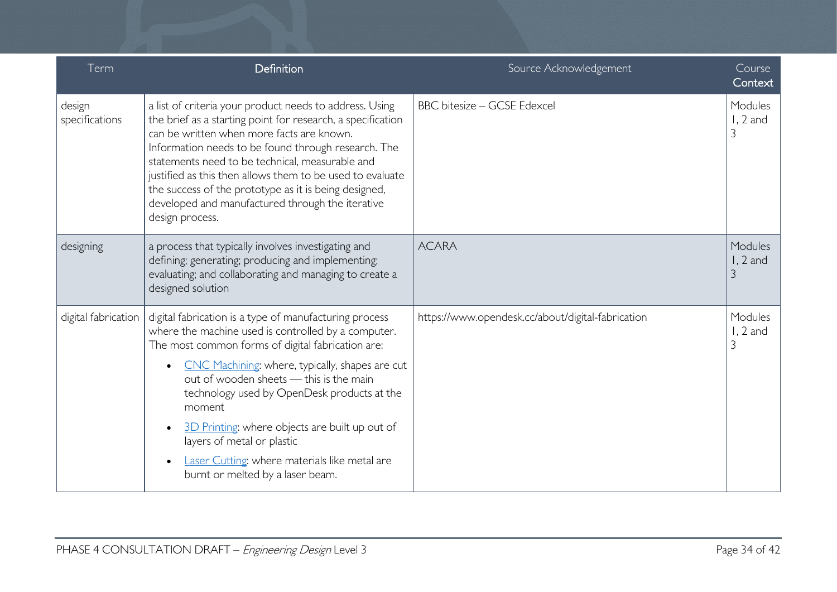| Term                     | Definition                                                                                                                                                                                                                                                                                                                                                                                                                                                                                                  | Source Acknowledgement                            | Course<br>Context          |
|--------------------------|-------------------------------------------------------------------------------------------------------------------------------------------------------------------------------------------------------------------------------------------------------------------------------------------------------------------------------------------------------------------------------------------------------------------------------------------------------------------------------------------------------------|---------------------------------------------------|----------------------------|
| design<br>specifications | a list of criteria your product needs to address. Using<br>the brief as a starting point for research, a specification<br>can be written when more facts are known.<br>Information needs to be found through research. The<br>statements need to be technical, measurable and<br>justified as this then allows them to be used to evaluate<br>the success of the prototype as it is being designed,<br>developed and manufactured through the iterative<br>design process.                                  | <b>BBC</b> bitesize - GCSE Edexcel                | Modules<br>$1, 2$ and<br>3 |
| designing                | a process that typically involves investigating and<br>defining; generating; producing and implementing;<br>evaluating; and collaborating and managing to create a<br>designed solution                                                                                                                                                                                                                                                                                                                     | <b>ACARA</b>                                      | Modules<br>$1, 2$ and<br>3 |
| digital fabrication      | digital fabrication is a type of manufacturing process<br>where the machine used is controlled by a computer.<br>The most common forms of digital fabrication are:<br>CNC Machining: where, typically, shapes are cut<br>out of wooden sheets — this is the main<br>technology used by OpenDesk products at the<br>moment<br>3D Printing: where objects are built up out of<br>layers of metal or plastic<br>Laser Cutting: where materials like metal are<br>$\bullet$<br>burnt or melted by a laser beam. | https://www.opendesk.cc/about/digital-fabrication | Modules<br>$1, 2$ and<br>3 |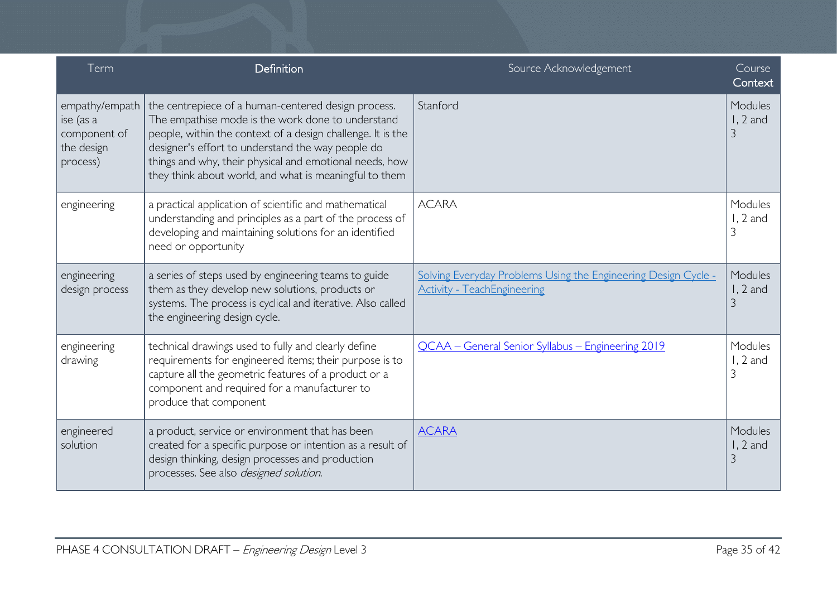| Term                                                                  | Definition                                                                                                                                                                                                                                                                                                                                        | Source Acknowledgement                                                                               | Course<br>Context                       |
|-----------------------------------------------------------------------|---------------------------------------------------------------------------------------------------------------------------------------------------------------------------------------------------------------------------------------------------------------------------------------------------------------------------------------------------|------------------------------------------------------------------------------------------------------|-----------------------------------------|
| empathy/empath<br>ise (as a<br>component of<br>the design<br>process) | the centrepiece of a human-centered design process.<br>The empathise mode is the work done to understand<br>people, within the context of a design challenge. It is the<br>designer's effort to understand the way people do<br>things and why, their physical and emotional needs, how<br>they think about world, and what is meaningful to them | Stanford                                                                                             | Modules<br>$1, 2$ and<br>3              |
| engineering                                                           | a practical application of scientific and mathematical<br>understanding and principles as a part of the process of<br>developing and maintaining solutions for an identified<br>need or opportunity                                                                                                                                               | <b>ACARA</b>                                                                                         | Modules<br>$1, 2$ and<br>3              |
| engineering<br>design process                                         | a series of steps used by engineering teams to guide<br>them as they develop new solutions, products or<br>systems. The process is cyclical and iterative. Also called<br>the engineering design cycle.                                                                                                                                           | Solving Everyday Problems Using the Engineering Design Cycle -<br><b>Activity - TeachEngineering</b> | <b>Modules</b><br>$1, 2$ and<br>3       |
| engineering<br>drawing                                                | technical drawings used to fully and clearly define<br>requirements for engineered items; their purpose is to<br>capture all the geometric features of a product or a<br>component and required for a manufacturer to<br>produce that component                                                                                                   | <u> QCAA – General Senior Syllabus – Engineering 2019</u>                                            | Modules<br>$1, 2$ and<br>$\mathcal{E}$  |
| engineered<br>solution                                                | a product, service or environment that has been<br>created for a specific purpose or intention as a result of<br>design thinking, design processes and production<br>processes. See also <i>designed solution</i> .                                                                                                                               | <b>ACARA</b>                                                                                         | Modules<br>$1, 2$ and<br>$\overline{3}$ |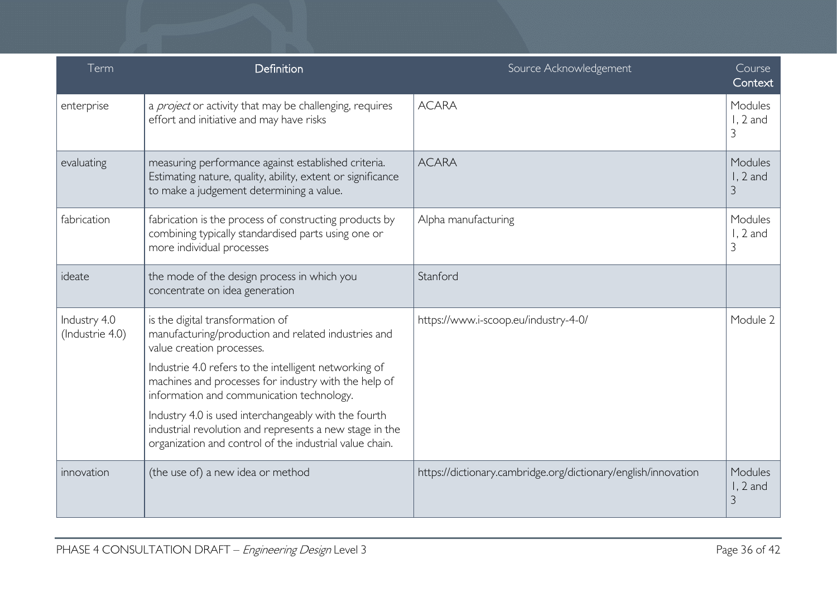| Term                            | Definition                                                                                                                                                                 | Source Acknowledgement                                         | Course<br>Context          |
|---------------------------------|----------------------------------------------------------------------------------------------------------------------------------------------------------------------------|----------------------------------------------------------------|----------------------------|
| enterprise                      | a <i>project</i> or activity that may be challenging, requires<br>effort and initiative and may have risks                                                                 | <b>ACARA</b>                                                   | Modules<br>I, 2 and<br>3   |
| evaluating                      | measuring performance against established criteria.<br>Estimating nature, quality, ability, extent or significance<br>to make a judgement determining a value.             | <b>ACARA</b>                                                   | Modules<br>$1, 2$ and<br>3 |
| fabrication                     | fabrication is the process of constructing products by<br>combining typically standardised parts using one or<br>more individual processes                                 | Alpha manufacturing                                            | Modules<br>I, 2 and<br>3   |
| ideate                          | the mode of the design process in which you<br>concentrate on idea generation                                                                                              | Stanford                                                       |                            |
| Industry 4.0<br>(Industrie 4.0) | is the digital transformation of<br>manufacturing/production and related industries and<br>value creation processes.                                                       | https://www.i-scoop.eu/industry-4-0/                           | Module 2                   |
|                                 | Industrie 4.0 refers to the intelligent networking of<br>machines and processes for industry with the help of<br>information and communication technology.                 |                                                                |                            |
|                                 | Industry 4.0 is used interchangeably with the fourth<br>industrial revolution and represents a new stage in the<br>organization and control of the industrial value chain. |                                                                |                            |
| innovation                      | (the use of) a new idea or method                                                                                                                                          | https://dictionary.cambridge.org/dictionary/english/innovation | Modules<br>$1, 2$ and<br>3 |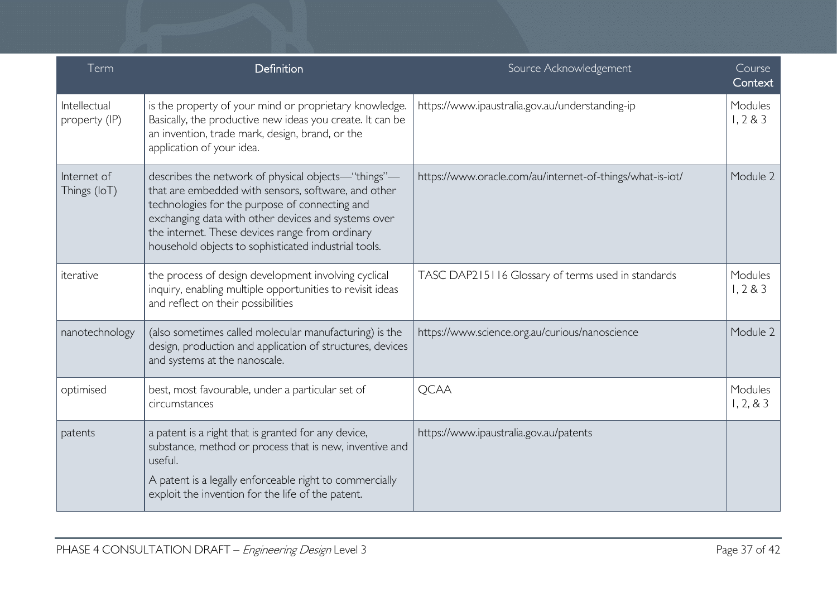| Term                          | Definition                                                                                                                                                                                                                                                                                                                     | Source Acknowledgement                                    | Course<br>Context     |
|-------------------------------|--------------------------------------------------------------------------------------------------------------------------------------------------------------------------------------------------------------------------------------------------------------------------------------------------------------------------------|-----------------------------------------------------------|-----------------------|
| Intellectual<br>property (IP) | is the property of your mind or proprietary knowledge.<br>Basically, the productive new ideas you create. It can be<br>an invention, trade mark, design, brand, or the<br>application of your idea.                                                                                                                            | https://www.ipaustralia.gov.au/understanding-ip           | Modules<br>1, 283     |
| Internet of<br>Things (IoT)   | describes the network of physical objects-"things"-<br>that are embedded with sensors, software, and other<br>technologies for the purpose of connecting and<br>exchanging data with other devices and systems over<br>the internet. These devices range from ordinary<br>household objects to sophisticated industrial tools. | https://www.oracle.com/au/internet-of-things/what-is-iot/ | Module 2              |
| iterative                     | the process of design development involving cyclical<br>inquiry, enabling multiple opportunities to revisit ideas<br>and reflect on their possibilities                                                                                                                                                                        | TASC DAP215116 Glossary of terms used in standards        | Modules<br>1, 283     |
| nanotechnology                | (also sometimes called molecular manufacturing) is the<br>design, production and application of structures, devices<br>and systems at the nanoscale.                                                                                                                                                                           | https://www.science.org.au/curious/nanoscience            | Module 2              |
| optimised                     | best, most favourable, under a particular set of<br>circumstances                                                                                                                                                                                                                                                              | <b>QCAA</b>                                               | Modules<br>1, 2, 8, 3 |
| patents                       | a patent is a right that is granted for any device,<br>substance, method or process that is new, inventive and<br>useful.<br>A patent is a legally enforceable right to commercially<br>exploit the invention for the life of the patent.                                                                                      | https://www.ipaustralia.gov.au/patents                    |                       |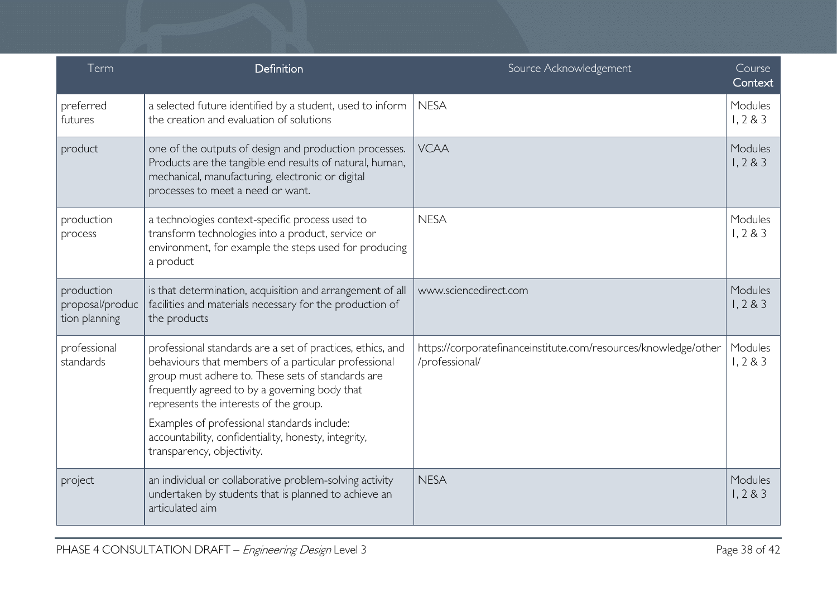| Term                                           | Definition                                                                                                                                                                                                                                                                                                                                                                                              | Source Acknowledgement                                                            | Course<br>Context     |
|------------------------------------------------|---------------------------------------------------------------------------------------------------------------------------------------------------------------------------------------------------------------------------------------------------------------------------------------------------------------------------------------------------------------------------------------------------------|-----------------------------------------------------------------------------------|-----------------------|
| preferred<br>futures                           | a selected future identified by a student, used to inform<br>the creation and evaluation of solutions                                                                                                                                                                                                                                                                                                   | NESA                                                                              | Modules<br>1, 2, 8, 3 |
| product                                        | one of the outputs of design and production processes.<br>Products are the tangible end results of natural, human,<br>mechanical, manufacturing, electronic or digital<br>processes to meet a need or want.                                                                                                                                                                                             | <b>VCAA</b>                                                                       | Modules<br>1, 2, 8, 3 |
| production<br>process                          | a technologies context-specific process used to<br>transform technologies into a product, service or<br>environment, for example the steps used for producing<br>a product                                                                                                                                                                                                                              | <b>NESA</b>                                                                       | Modules<br>1, 283     |
| production<br>proposal/produc<br>tion planning | is that determination, acquisition and arrangement of all<br>facilities and materials necessary for the production of<br>the products                                                                                                                                                                                                                                                                   | www.sciencedirect.com                                                             | Modules<br>1, 283     |
| professional<br>standards                      | professional standards are a set of practices, ethics, and<br>behaviours that members of a particular professional<br>group must adhere to. These sets of standards are<br>frequently agreed to by a governing body that<br>represents the interests of the group.<br>Examples of professional standards include:<br>accountability, confidentiality, honesty, integrity,<br>transparency, objectivity. | https://corporatefinanceinstitute.com/resources/knowledge/other<br>/professional/ | Modules<br>1, 283     |
| project                                        | an individual or collaborative problem-solving activity<br>undertaken by students that is planned to achieve an<br>articulated aim                                                                                                                                                                                                                                                                      | <b>NESA</b>                                                                       | Modules<br>1, 283     |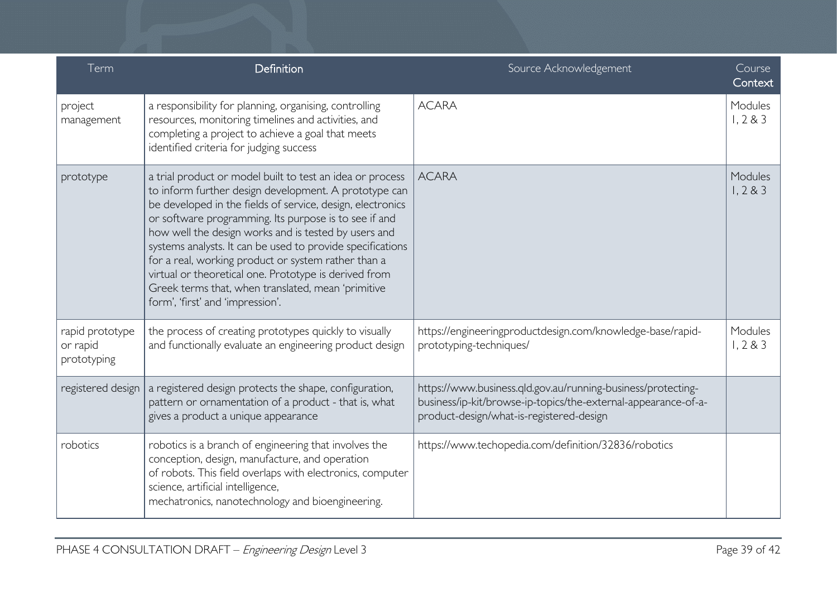| Term                                       | Definition                                                                                                                                                                                                                                                                                                                                                                                                                                                                                                                                                                | Source Acknowledgement                                                                                                                                                     | Course<br>Context |
|--------------------------------------------|---------------------------------------------------------------------------------------------------------------------------------------------------------------------------------------------------------------------------------------------------------------------------------------------------------------------------------------------------------------------------------------------------------------------------------------------------------------------------------------------------------------------------------------------------------------------------|----------------------------------------------------------------------------------------------------------------------------------------------------------------------------|-------------------|
| project<br>management                      | a responsibility for planning, organising, controlling<br>resources, monitoring timelines and activities, and<br>completing a project to achieve a goal that meets<br>identified criteria for judging success                                                                                                                                                                                                                                                                                                                                                             | <b>ACARA</b>                                                                                                                                                               | Modules<br>1, 283 |
| prototype                                  | a trial product or model built to test an idea or process<br>to inform further design development. A prototype can<br>be developed in the fields of service, design, electronics<br>or software programming. Its purpose is to see if and<br>how well the design works and is tested by users and<br>systems analysts. It can be used to provide specifications<br>for a real, working product or system rather than a<br>virtual or theoretical one. Prototype is derived from<br>Greek terms that, when translated, mean 'primitive<br>form', 'first' and 'impression'. | <b>ACARA</b>                                                                                                                                                               | Modules<br>1, 283 |
| rapid prototype<br>or rapid<br>prototyping | the process of creating prototypes quickly to visually<br>and functionally evaluate an engineering product design                                                                                                                                                                                                                                                                                                                                                                                                                                                         | https://engineeringproductdesign.com/knowledge-base/rapid-<br>prototyping-techniques/                                                                                      | Modules<br>1, 283 |
| registered design                          | a registered design protects the shape, configuration,<br>pattern or ornamentation of a product - that is, what<br>gives a product a unique appearance                                                                                                                                                                                                                                                                                                                                                                                                                    | https://www.business.qld.gov.au/running-business/protecting-<br>business/ip-kit/browse-ip-topics/the-external-appearance-of-a-<br>product-design/what-is-registered-design |                   |
| robotics                                   | robotics is a branch of engineering that involves the<br>conception, design, manufacture, and operation<br>of robots. This field overlaps with electronics, computer<br>science, artificial intelligence,<br>mechatronics, nanotechnology and bioengineering.                                                                                                                                                                                                                                                                                                             | https://www.techopedia.com/definition/32836/robotics                                                                                                                       |                   |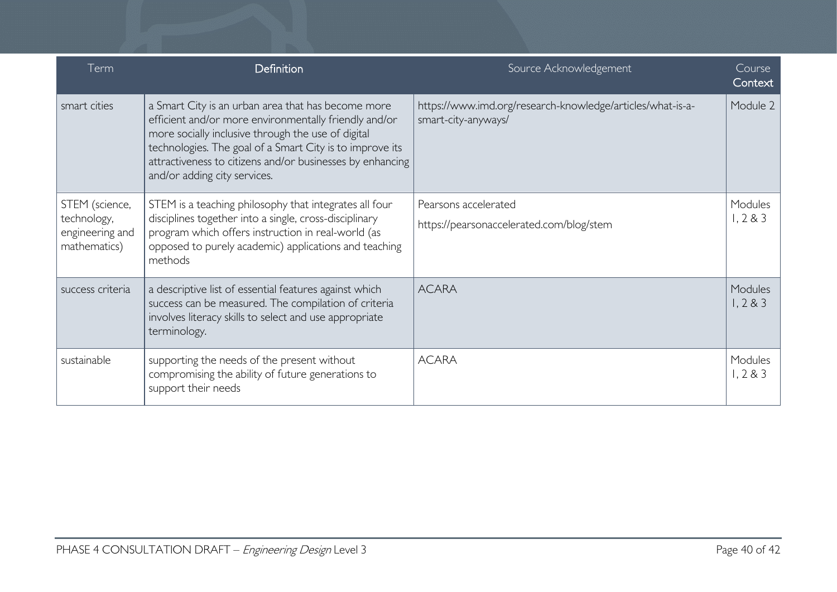| Term                                                             | <b>Definition</b>                                                                                                                                                                                                                                                                                                          | Source Acknowledgement                                                            | Course<br>Context |
|------------------------------------------------------------------|----------------------------------------------------------------------------------------------------------------------------------------------------------------------------------------------------------------------------------------------------------------------------------------------------------------------------|-----------------------------------------------------------------------------------|-------------------|
| smart cities                                                     | a Smart City is an urban area that has become more<br>efficient and/or more environmentally friendly and/or<br>more socially inclusive through the use of digital<br>technologies. The goal of a Smart City is to improve its<br>attractiveness to citizens and/or businesses by enhancing<br>and/or adding city services. | https://www.imd.org/research-knowledge/articles/what-is-a-<br>smart-city-anyways/ | Module 2          |
| STEM (science,<br>technology,<br>engineering and<br>mathematics) | STEM is a teaching philosophy that integrates all four<br>disciplines together into a single, cross-disciplinary<br>program which offers instruction in real-world (as<br>opposed to purely academic) applications and teaching<br>methods                                                                                 | Pearsons accelerated<br>https://pearsonaccelerated.com/blog/stem                  | Modules<br>1, 283 |
| success criteria                                                 | a descriptive list of essential features against which<br>success can be measured. The compilation of criteria<br>involves literacy skills to select and use appropriate<br>terminology.                                                                                                                                   | <b>ACARA</b>                                                                      | Modules<br>1, 283 |
| sustainable                                                      | supporting the needs of the present without<br>compromising the ability of future generations to<br>support their needs                                                                                                                                                                                                    | <b>ACARA</b>                                                                      | Modules<br>1, 283 |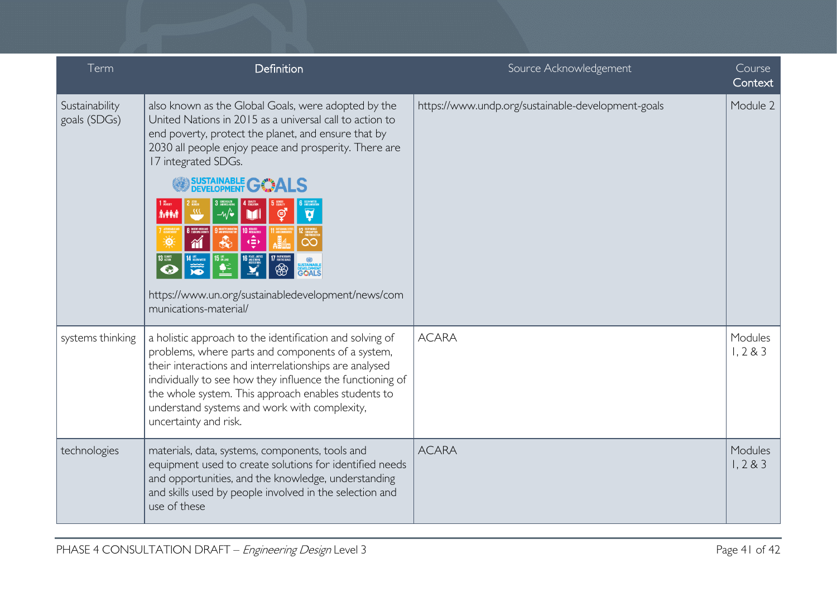| Term                           | Definition                                                                                                                                                                                                                                                                                                                                                                                                                                                                                                                                         | Source Acknowledgement                             | Course<br>Context |
|--------------------------------|----------------------------------------------------------------------------------------------------------------------------------------------------------------------------------------------------------------------------------------------------------------------------------------------------------------------------------------------------------------------------------------------------------------------------------------------------------------------------------------------------------------------------------------------------|----------------------------------------------------|-------------------|
| Sustainability<br>goals (SDGs) | also known as the Global Goals, were adopted by the<br>United Nations in 2015 as a universal call to action to<br>end poverty, protect the planet, and ensure that by<br>2030 all people enjoy peace and prosperity. There are<br>17 integrated SDGs.<br><b>SUSTAINABLE GOMEN</b><br>$\overline{\omega}$<br>$-\sqrt{\bullet}$<br>⊜<br>Ø<br>Ñ∗ŶŶ⁄Ñ<br>10 $\frac{RQUED}{NEDULIMES}$<br>衜<br>റാ<br><b>15 WELMO</b><br>$\sum_{i=1}^{\infty}$<br>❀<br><b>DEVELOPMENT</b><br>https://www.un.org/sustainabledevelopment/news/com<br>munications-material/ | https://www.undp.org/sustainable-development-goals | Module 2          |
| systems thinking               | a holistic approach to the identification and solving of<br>problems, where parts and components of a system,<br>their interactions and interrelationships are analysed<br>individually to see how they influence the functioning of<br>the whole system. This approach enables students to<br>understand systems and work with complexity,<br>uncertainty and risk.                                                                                                                                                                               | <b>ACARA</b>                                       | Modules<br>1, 283 |
| technologies                   | materials, data, systems, components, tools and<br>equipment used to create solutions for identified needs<br>and opportunities, and the knowledge, understanding<br>and skills used by people involved in the selection and<br>use of these                                                                                                                                                                                                                                                                                                       | <b>ACARA</b>                                       | Modules<br>1, 283 |